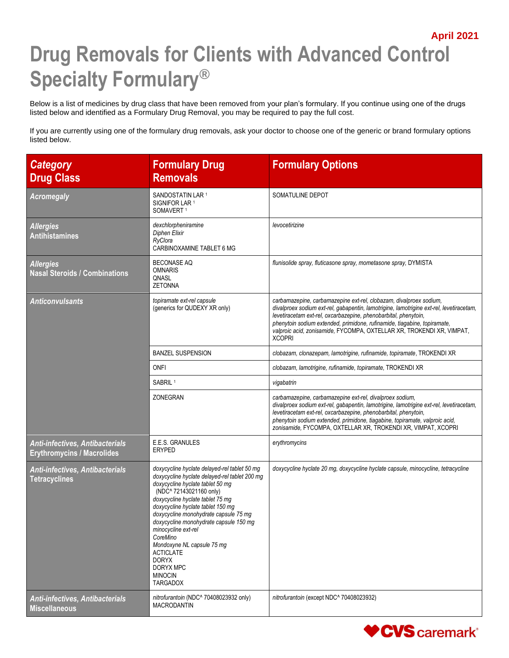## **April 2021 Drug Removals for Clients with Advanced Control Specialty Formulary®**

Below is a list of medicines by drug class that have been removed from your plan's formulary. If you continue using one of the drugs listed below and identified as a Formulary Drug Removal, you may be required to pay the full cost.

If you are currently using one of the formulary drug removals, ask your doctor to choose one of the generic or brand formulary options listed below.

| <b>Category</b><br><b>Drug Class</b>                                        | <b>Formulary Drug</b><br><b>Removals</b>                                                                                                                                                                                                                                                                                                                                                                                                                                        | <b>Formulary Options</b>                                                                                                                                                                                                                                                                                                                                                                               |
|-----------------------------------------------------------------------------|---------------------------------------------------------------------------------------------------------------------------------------------------------------------------------------------------------------------------------------------------------------------------------------------------------------------------------------------------------------------------------------------------------------------------------------------------------------------------------|--------------------------------------------------------------------------------------------------------------------------------------------------------------------------------------------------------------------------------------------------------------------------------------------------------------------------------------------------------------------------------------------------------|
| <b>Acromegaly</b>                                                           | SANDOSTATIN LAR 1<br>SIGNIFOR LAR <sup>1</sup><br>SOMAVERT <sup>1</sup>                                                                                                                                                                                                                                                                                                                                                                                                         | SOMATULINE DEPOT                                                                                                                                                                                                                                                                                                                                                                                       |
| <b>Allergies</b><br><b>Antihistamines</b>                                   | dexchlorpheniramine<br><b>Diphen Elixir</b><br>RyClora<br>CARBINOXAMINE TABLET 6 MG                                                                                                                                                                                                                                                                                                                                                                                             | levocetirizine                                                                                                                                                                                                                                                                                                                                                                                         |
| <b>Allergies</b><br><b>Nasal Steroids / Combinations</b>                    | <b>BECONASE AQ</b><br><b>OMNARIS</b><br>QNASL<br><b>ZETONNA</b>                                                                                                                                                                                                                                                                                                                                                                                                                 | flunisolide spray, fluticasone spray, mometasone spray, DYMISTA                                                                                                                                                                                                                                                                                                                                        |
| <b>Anticonvulsants</b>                                                      | topiramate ext-rel capsule<br>(generics for QUDEXY XR only)                                                                                                                                                                                                                                                                                                                                                                                                                     | carbamazepine, carbamazepine ext-rel, clobazam, divalproex sodium,<br>divalproex sodium ext-rel, gabapentin, lamotrigine, lamotrigine ext-rel, levetiracetam,<br>levetiracetam ext-rel, oxcarbazepine, phenobarbital, phenytoin,<br>phenytoin sodium extended, primidone, rufinamide, tiagabine, topiramate,<br>valproic acid, zonisamide, FYCOMPA, OXTELLAR XR, TROKENDI XR, VIMPAT,<br><b>XCOPRI</b> |
|                                                                             | <b>BANZEL SUSPENSION</b>                                                                                                                                                                                                                                                                                                                                                                                                                                                        | clobazam, clonazepam, lamotrigine, rufinamide, topiramate, TROKENDI XR                                                                                                                                                                                                                                                                                                                                 |
|                                                                             | ONFI                                                                                                                                                                                                                                                                                                                                                                                                                                                                            | clobazam, lamotrigine, rufinamide, topiramate, TROKENDI XR                                                                                                                                                                                                                                                                                                                                             |
|                                                                             | SABRIL <sup>1</sup>                                                                                                                                                                                                                                                                                                                                                                                                                                                             | vigabatrin                                                                                                                                                                                                                                                                                                                                                                                             |
|                                                                             | ZONEGRAN                                                                                                                                                                                                                                                                                                                                                                                                                                                                        | carbamazepine, carbamazepine ext-rel, divalproex sodium,<br>divalproex sodium ext-rel, gabapentin, lamotrigine, lamotrigine ext-rel, levetiracetam,<br>levetiracetam ext-rel, oxcarbazepine, phenobarbital, phenytoin,<br>phenytoin sodium extended, primidone, tiagabine, topiramate, valproic acid,<br>zonisamide, FYCOMPA, OXTELLAR XR, TROKENDI XR, VIMPAT, XCOPRI                                 |
| <b>Anti-infectives, Antibacterials</b><br><b>Erythromycins / Macrolides</b> | E.E.S. GRANULES<br><b>ERYPED</b>                                                                                                                                                                                                                                                                                                                                                                                                                                                | erythromycins                                                                                                                                                                                                                                                                                                                                                                                          |
| Anti-infectives, Antibacterials<br><b>Tetracyclines</b>                     | doxycycline hyclate delayed-rel tablet 50 mg<br>doxycycline hyclate delayed-rel tablet 200 mg<br>doxycycline hyclate tablet 50 mg<br>(NDC^ 72143021160 only)<br>doxycycline hyclate tablet 75 mg<br>doxycycline hyclate tablet 150 mg<br>doxycycline monohydrate capsule 75 mg<br>doxycycline monohydrate capsule 150 mg<br>minocycline ext-rel<br>CoreMino<br>Mondoxyne NL capsule 75 mg<br><b>ACTICLATE</b><br><b>DORYX</b><br>DORYX MPC<br><b>MINOCIN</b><br><b>TARGADOX</b> | doxycycline hyclate 20 mg, doxycycline hyclate capsule, minocycline, tetracycline                                                                                                                                                                                                                                                                                                                      |
| Anti-infectives, Antibacterials<br><b>Miscellaneous</b>                     | nitrofurantoin (NDC^ 70408023932 only)<br><b>MACRODANTIN</b>                                                                                                                                                                                                                                                                                                                                                                                                                    | nitrofurantoin (except NDC^ 70408023932)                                                                                                                                                                                                                                                                                                                                                               |

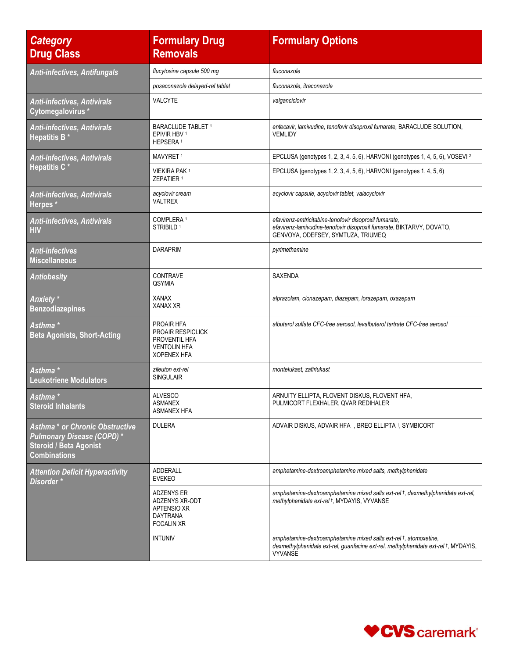| <b>Category</b><br><b>Drug Class</b>                                                                                        | <b>Formulary Drug</b><br><b>Removals</b>                                                          | <b>Formulary Options</b>                                                                                                                                                   |
|-----------------------------------------------------------------------------------------------------------------------------|---------------------------------------------------------------------------------------------------|----------------------------------------------------------------------------------------------------------------------------------------------------------------------------|
| <b>Anti-infectives, Antifungals</b>                                                                                         | flucytosine capsule 500 mg                                                                        | fluconazole                                                                                                                                                                |
|                                                                                                                             | posaconazole delayed-rel tablet                                                                   | fluconazole, itraconazole                                                                                                                                                  |
| <b>Anti-infectives, Antivirals</b><br>Cytomegalovirus*                                                                      | <b>VALCYTE</b>                                                                                    | valganciclovir                                                                                                                                                             |
| Anti-infectives, Antivirals<br>Hepatitis B <sup>*</sup>                                                                     | <b>BARACLUDE TABLET 1</b><br>EPIVIR HBV <sup>1</sup><br>HEPSERA <sup>1</sup>                      | entecavir, lamivudine, tenofovir disoproxil fumarate, BARACLUDE SOLUTION,<br>VEMLIDY                                                                                       |
| <b>Anti-infectives, Antivirals</b>                                                                                          | MAVYRET <sup>1</sup>                                                                              | EPCLUSA (genotypes 1, 2, 3, 4, 5, 6), HARVONI (genotypes 1, 4, 5, 6), VOSEVI <sup>2</sup>                                                                                  |
| <b>Hepatitis C*</b>                                                                                                         | <b>VIEKIRA PAK1</b><br>ZEPATIER <sup>1</sup>                                                      | EPCLUSA (genotypes 1, 2, 3, 4, 5, 6), HARVONI (genotypes 1, 4, 5, 6)                                                                                                       |
| <b>Anti-infectives, Antivirals</b><br>Herpes*                                                                               | acyclovir cream<br><b>VALTREX</b>                                                                 | acyclovir capsule, acyclovir tablet, valacyclovir                                                                                                                          |
| <b>Anti-infectives, Antivirals</b><br><b>HIV</b>                                                                            | COMPLERA <sup>1</sup><br>STRIBILD <sup>1</sup>                                                    | efavirenz-emtricitabine-tenofovir disoproxil fumarate,<br>efavirenz-lamivudine-tenofovir disoproxil fumarate, BIKTARVY, DOVATO,<br>GENVOYA, ODEFSEY, SYMTUZA, TRIUMEQ      |
| <b>Anti-infectives</b><br><b>Miscellaneous</b>                                                                              | <b>DARAPRIM</b>                                                                                   | pyrimethamine                                                                                                                                                              |
| <b>Antiobesity</b>                                                                                                          | <b>CONTRAVE</b><br>QSYMIA                                                                         | <b>SAXENDA</b>                                                                                                                                                             |
| Anxiety*<br><b>Benzodiazepines</b>                                                                                          | <b>XANAX</b><br><b>XANAX XR</b>                                                                   | alprazolam, clonazepam, diazepam, lorazepam, oxazepam                                                                                                                      |
| Asthma *<br><b>Beta Agonists, Short-Acting</b>                                                                              | PROAIR HFA<br>PROAIR RESPICLICK<br>PROVENTIL HFA<br><b>VENTOLIN HFA</b><br><b>XOPENEX HFA</b>     | albuterol sulfate CFC-free aerosol, levalbuterol tartrate CFC-free aerosol                                                                                                 |
| Asthma *<br><b>Leukotriene Modulators</b>                                                                                   | zileuton ext-rel<br><b>SINGULAIR</b>                                                              | montelukast, zafirlukast                                                                                                                                                   |
| Asthma *<br><b>Steroid Inhalants</b>                                                                                        | <b>ALVESCO</b><br><b>ASMANEX</b><br><b>ASMANEX HFA</b>                                            | ARNUITY ELLIPTA, FLOVENT DISKUS, FLOVENT HFA,<br>PULMICORT FLEXHALER, QVAR REDIHALER                                                                                       |
| <b>Asthma * or Chronic Obstructive</b><br>Pulmonary Disease (COPD)*<br><b>Steroid / Beta Agonist</b><br><b>Combinations</b> | <b>DULERA</b>                                                                                     | ADVAIR DISKUS, ADVAIR HFA <sup>†</sup> , BREO ELLIPTA <sup>†</sup> , SYMBICORT                                                                                             |
| <b>Attention Deficit Hyperactivity</b><br>Disorder *                                                                        | ADDERALL<br><b>EVEKEO</b>                                                                         | amphetamine-dextroamphetamine mixed salts, methylphenidate                                                                                                                 |
|                                                                                                                             | <b>ADZENYS ER</b><br>ADZENYS XR-ODT<br><b>APTENSIO XR</b><br><b>DAYTRANA</b><br><b>FOCALIN XR</b> | amphetamine-dextroamphetamine mixed salts ext-rel +, dexmethylphenidate ext-rel,<br>methylphenidate ext-rel +, MYDAYIS, VYVANSE                                            |
|                                                                                                                             | <b>INTUNIV</b>                                                                                    | amphetamine-dextroamphetamine mixed salts ext-rel +, atomoxetine,<br>dexmethylphenidate ext-rel, guanfacine ext-rel, methylphenidate ext-rel +, MYDAYIS,<br><b>VYVANSE</b> |

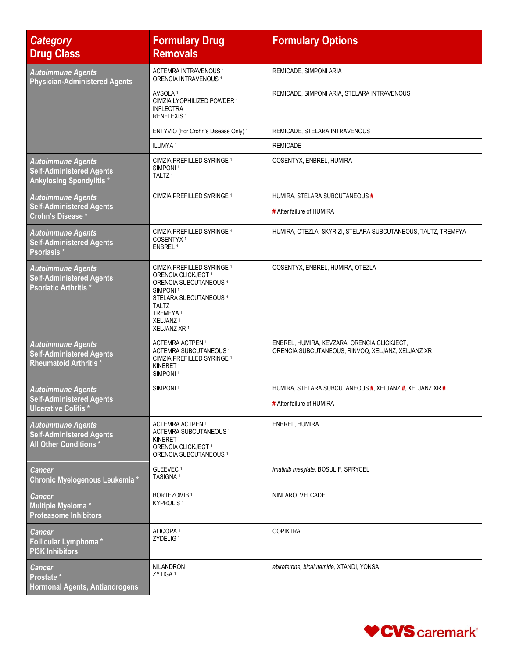| <b>Category</b><br><b>Drug Class</b>                                                           | <b>Formulary Drug</b><br><b>Removals</b>                                                                                                                                                                                                             | <b>Formulary Options</b>                                                                         |
|------------------------------------------------------------------------------------------------|------------------------------------------------------------------------------------------------------------------------------------------------------------------------------------------------------------------------------------------------------|--------------------------------------------------------------------------------------------------|
| <b>Autoimmune Agents</b><br><b>Physician-Administered Agents</b>                               | ACTEMRA INTRAVENOUS <sup>1</sup><br>ORENCIA INTRAVENOUS <sup>1</sup>                                                                                                                                                                                 | REMICADE, SIMPONI ARIA                                                                           |
|                                                                                                | AVSOLA <sup>1</sup><br>CIMZIA LYOPHILIZED POWDER 1<br><b>INFLECTRA 1</b><br>RENFLEXIS <sup>1</sup>                                                                                                                                                   | REMICADE, SIMPONI ARIA, STELARA INTRAVENOUS                                                      |
|                                                                                                | ENTYVIO (For Crohn's Disease Only) 1                                                                                                                                                                                                                 | REMICADE, STELARA INTRAVENOUS                                                                    |
|                                                                                                | ILUMYA <sup>1</sup>                                                                                                                                                                                                                                  | <b>REMICADE</b>                                                                                  |
| <b>Autoimmune Agents</b><br><b>Self-Administered Agents</b><br><b>Ankylosing Spondylitis *</b> | CIMZIA PREFILLED SYRINGE 1<br>SIMPONI <sup>1</sup><br>TALTZ <sup>1</sup>                                                                                                                                                                             | COSENTYX, ENBREL, HUMIRA                                                                         |
| <b>Autoimmune Agents</b>                                                                       | CIMZIA PREFILLED SYRINGE 1                                                                                                                                                                                                                           | HUMIRA, STELARA SUBCUTANEOUS #                                                                   |
| <b>Self-Administered Agents</b><br><b>Crohn's Disease *</b>                                    |                                                                                                                                                                                                                                                      | # After failure of HUMIRA                                                                        |
| <b>Autoimmune Agents</b><br><b>Self-Administered Agents</b><br>Psoriasis <sup>*</sup>          | CIMZIA PREFILLED SYRINGE <sup>1</sup><br>COSENTYX <sup>1</sup><br>ENBREL <sup>1</sup>                                                                                                                                                                | HUMIRA, OTEZLA, SKYRIZI, STELARA SUBCUTANEOUS, TALTZ, TREMFYA                                    |
| <b>Autoimmune Agents</b><br><b>Self-Administered Agents</b><br><b>Psoriatic Arthritis*</b>     | CIMZIA PREFILLED SYRINGE 1<br>ORENCIA CLICKJECT <sup>1</sup><br>ORENCIA SUBCUTANEOUS <sup>1</sup><br>SIMPONI <sup>1</sup><br>STELARA SUBCUTANEOUS <sup>1</sup><br>TALTZ <sup>1</sup><br>TREMFYA <sup>1</sup><br>XELJANZ <sup>1</sup><br>XELJANZ XR 1 | COSENTYX, ENBREL, HUMIRA, OTEZLA                                                                 |
| <b>Autoimmune Agents</b><br><b>Self-Administered Agents</b><br><b>Rheumatoid Arthritis*</b>    | <b>ACTEMRA ACTPEN 1</b><br><b>ACTEMRA SUBCUTANEOUS 1</b><br>CIMZIA PREFILLED SYRINGE 1<br>KINERET <sup>1</sup><br>SIMPONI <sup>1</sup>                                                                                                               | ENBREL, HUMIRA, KEVZARA, ORENCIA CLICKJECT,<br>ORENCIA SUBCUTANEOUS, RINVOQ, XELJANZ, XELJANZ XR |
| <b>Autoimmune Agents</b>                                                                       | SIMPONI <sup>1</sup>                                                                                                                                                                                                                                 | HUMIRA, STELARA SUBCUTANEOUS #, XELJANZ #, XELJANZ XR #                                          |
| <b>Self-Administered Agents</b><br>Ulcerative Colitis *                                        |                                                                                                                                                                                                                                                      | # After failure of HUMIRA                                                                        |
| <b>Autoimmune Agents</b><br><b>Self-Administered Agents</b><br>All Other Conditions*           | ACTEMRA ACTPEN <sup>1</sup><br><b>ACTEMRA SUBCUTANEOUS 1</b><br>KINERET <sup>1</sup><br>ORENCIA CLICKJECT <sup>1</sup><br>ORENCIA SUBCUTANEOUS <sup>1</sup>                                                                                          | ENBREL, HUMIRA                                                                                   |
| <b>Cancer</b><br>Chronic Myelogenous Leukemia *                                                | GLEEVEC <sup>1</sup><br>TASIGNA <sup>1</sup>                                                                                                                                                                                                         | imatinib mesylate, BOSULIF, SPRYCEL                                                              |
| <b>Cancer</b><br>Multiple Myeloma*<br><b>Proteasome Inhibitors</b>                             | <b>BORTEZOMIB</b> <sup>1</sup><br>KYPROLIS <sup>1</sup>                                                                                                                                                                                              | NINLARO, VELCADE                                                                                 |
| <b>Cancer</b><br>Follicular Lymphoma*<br><b>PI3K Inhibitors</b>                                | ALIQOPA <sup>1</sup><br>ZYDELIG <sup>1</sup>                                                                                                                                                                                                         | <b>COPIKTRA</b>                                                                                  |
| <b>Cancer</b><br>Prostate *<br><b>Hormonal Agents, Antiandrogens</b>                           | <b>NILANDRON</b><br>ZYTIGA <sup>1</sup>                                                                                                                                                                                                              | abiraterone, bicalutamide, XTANDI, YONSA                                                         |

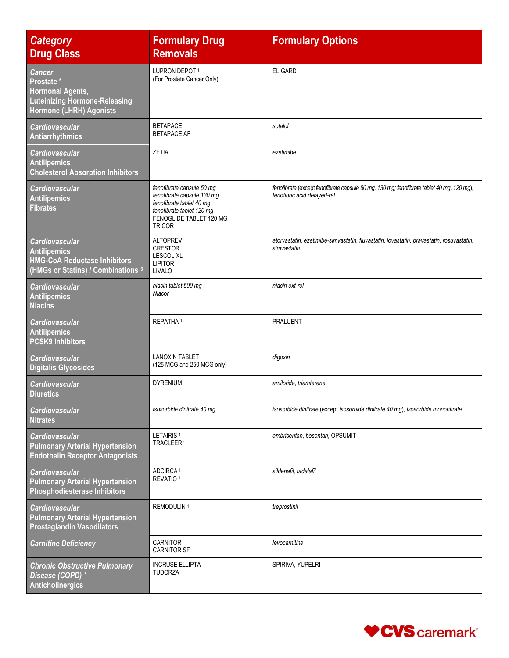| <b>Category</b><br><b>Drug Class</b>                                                                                                 | <b>Formulary Drug</b><br><b>Removals</b>                                                                                                                     | <b>Formulary Options</b>                                                                                                 |
|--------------------------------------------------------------------------------------------------------------------------------------|--------------------------------------------------------------------------------------------------------------------------------------------------------------|--------------------------------------------------------------------------------------------------------------------------|
| <b>Cancer</b><br>Prostate <sup>*</sup><br><b>Hormonal Agents,</b><br><b>Luteinizing Hormone-Releasing</b><br>Hormone (LHRH) Agonists | LUPRON DEPOT 1<br>(For Prostate Cancer Only)                                                                                                                 | <b>ELIGARD</b>                                                                                                           |
| <b>Cardiovascular</b><br>Antiarrhythmics                                                                                             | <b>BETAPACE</b><br><b>BETAPACE AF</b>                                                                                                                        | sotalol                                                                                                                  |
| <b>Cardiovascular</b><br><b>Antilipemics</b><br><b>Cholesterol Absorption Inhibitors</b>                                             | ZETIA                                                                                                                                                        | ezetimibe                                                                                                                |
| <b>Cardiovascular</b><br><b>Antilipemics</b><br><b>Fibrates</b>                                                                      | fenofibrate capsule 50 mg<br>fenofibrate capsule 130 mg<br>fenofibrate tablet 40 mg<br>fenofibrate tablet 120 mg<br>FENOGLIDE TABLET 120 MG<br><b>TRICOR</b> | fenofibrate (except fenofibrate capsule 50 mg, 130 mg; fenofibrate tablet 40 mg, 120 mg),<br>fenofibric acid delayed-rel |
| <b>Cardiovascular</b><br><b>Antilipemics</b><br><b>HMG-CoA Reductase Inhibitors</b><br>(HMGs or Statins) / Combinations 3            | <b>ALTOPREV</b><br><b>CRESTOR</b><br><b>LESCOL XL</b><br><b>LIPITOR</b><br><b>LIVALO</b>                                                                     | atorvastatin, ezetimibe-simvastatin, fluvastatin, lovastatin, pravastatin, rosuvastatin,<br>simvastatin                  |
| <b>Cardiovascular</b><br><b>Antilipemics</b><br><b>Niacins</b>                                                                       | niacin tablet 500 mg<br>Niacor                                                                                                                               | niacin ext-rel                                                                                                           |
| <b>Cardiovascular</b><br><b>Antilipemics</b><br><b>PCSK9 Inhibitors</b>                                                              | REPATHA <sup>1</sup>                                                                                                                                         | <b>PRALUENT</b>                                                                                                          |
| <b>Cardiovascular</b><br><b>Digitalis Glycosides</b>                                                                                 | <b>LANOXIN TABLET</b><br>(125 MCG and 250 MCG only)                                                                                                          | digoxin                                                                                                                  |
| <b>Cardiovascular</b><br><b>Diuretics</b>                                                                                            | <b>DYRENIUM</b>                                                                                                                                              | amiloride, triamterene                                                                                                   |
| <b>Cardiovascular</b><br><b>Nitrates</b>                                                                                             | isosorbide dinitrate 40 mg                                                                                                                                   | isosorbide dinitrate (except isosorbide dinitrate 40 mg), isosorbide mononitrate                                         |
| <b>Cardiovascular</b><br><b>Pulmonary Arterial Hypertension</b><br><b>Endothelin Receptor Antagonists</b>                            | LETAIRIS <sup>1</sup><br>TRACLEER <sup>1</sup>                                                                                                               | ambrisentan, bosentan, OPSUMIT                                                                                           |
| <b>Cardiovascular</b><br><b>Pulmonary Arterial Hypertension</b><br><b>Phosphodiesterase Inhibitors</b>                               | ADCIRCA <sup>1</sup><br>REVATIO <sup>1</sup>                                                                                                                 | sildenafil, tadalafil                                                                                                    |
| <b>Cardiovascular</b><br><b>Pulmonary Arterial Hypertension</b><br><b>Prostaglandin Vasodilators</b>                                 | REMODULIN <sup>1</sup>                                                                                                                                       | treprostinil                                                                                                             |
| <b>Carnitine Deficiency</b>                                                                                                          | <b>CARNITOR</b><br><b>CARNITOR SF</b>                                                                                                                        | levocarnitine                                                                                                            |
| <b>Chronic Obstructive Pulmonary</b><br>Disease (COPD) *<br><b>Anticholinergics</b>                                                  | <b>INCRUSE ELLIPTA</b><br><b>TUDORZA</b>                                                                                                                     | SPIRIVA, YUPELRI                                                                                                         |

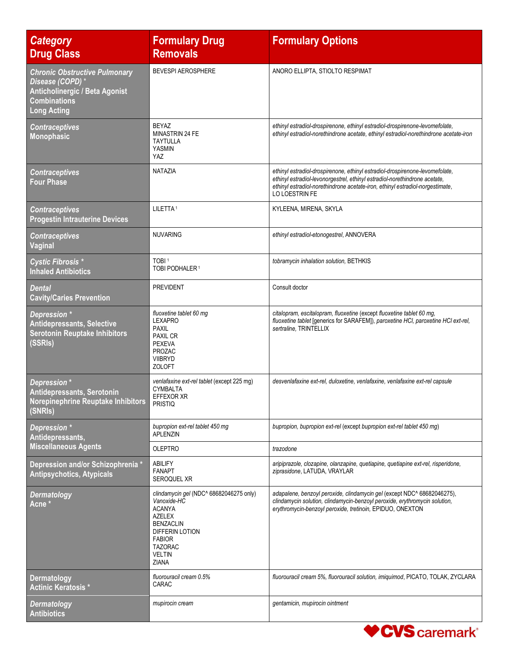| <b>Category</b><br><b>Drug Class</b>                                                                                                    | <b>Formulary Drug</b><br><b>Removals</b>                                                                                                                                              | <b>Formulary Options</b>                                                                                                                                                                                                                                      |
|-----------------------------------------------------------------------------------------------------------------------------------------|---------------------------------------------------------------------------------------------------------------------------------------------------------------------------------------|---------------------------------------------------------------------------------------------------------------------------------------------------------------------------------------------------------------------------------------------------------------|
| <b>Chronic Obstructive Pulmonary</b><br>Disease (COPD) *<br>Anticholinergic / Beta Agonist<br><b>Combinations</b><br><b>Long Acting</b> | <b>BEVESPI AEROSPHERE</b>                                                                                                                                                             | ANORO ELLIPTA, STIOLTO RESPIMAT                                                                                                                                                                                                                               |
| <b>Contraceptives</b><br><b>Monophasic</b>                                                                                              | <b>BEYAZ</b><br><b>MINASTRIN 24 FE</b><br><b>TAYTULLA</b><br>YASMIN<br>YAZ.                                                                                                           | ethinyl estradiol-drospirenone, ethinyl estradiol-drospirenone-levomefolate,<br>ethinyl estradiol-norethindrone acetate, ethinyl estradiol-norethindrone acetate-iron                                                                                         |
| <b>Contraceptives</b><br><b>Four Phase</b>                                                                                              | <b>NATAZIA</b>                                                                                                                                                                        | ethinyl estradiol-drospirenone, ethinyl estradiol-drospirenone-levomefolate,<br>ethinyl estradiol-levonorgestrel, ethinyl estradiol-norethindrone acetate,<br>ethinyl estradiol-norethindrone acetate-iron, ethinyl estradiol-norgestimate,<br>LO LOESTRIN FE |
| <b>Contraceptives</b><br><b>Progestin Intrauterine Devices</b>                                                                          | LILETTA <sup>1</sup>                                                                                                                                                                  | KYLEENA, MIRENA, SKYLA                                                                                                                                                                                                                                        |
| <b>Contraceptives</b><br>Vaginal                                                                                                        | <b>NUVARING</b>                                                                                                                                                                       | ethinyl estradiol-etonogestrel, ANNOVERA                                                                                                                                                                                                                      |
| <b>Cystic Fibrosis *</b><br><b>Inhaled Antibiotics</b>                                                                                  | TOBI <sup>1</sup><br>TOBI PODHALER <sup>1</sup>                                                                                                                                       | tobramycin inhalation solution, BETHKIS                                                                                                                                                                                                                       |
| <b>Dental</b><br><b>Cavity/Caries Prevention</b>                                                                                        | <b>PREVIDENT</b>                                                                                                                                                                      | Consult doctor                                                                                                                                                                                                                                                |
| Depression *<br><b>Antidepressants, Selective</b><br><b>Serotonin Reuptake Inhibitors</b><br>(SSRIs)                                    | fluoxetine tablet 60 mg<br><b>LEXAPRO</b><br><b>PAXIL</b><br>PAXIL CR<br><b>PEXEVA</b><br>PROZAC<br><b>VIIBRYD</b><br><b>ZOLOFT</b>                                                   | citalopram, escitalopram, fluoxetine (except fluoxetine tablet 60 mg,<br>fluoxetine tablet [generics for SARAFEM]), paroxetine HCI, paroxetine HCI ext-rel,<br>sertraline, TRINTELLIX                                                                         |
| Depression *<br>Antidepressants, Serotonin<br>Norepinephrine Reuptake Inhibitors<br>(SNRIs)                                             | venlafaxine ext-rel tablet (except 225 mg)<br>CYMBALTA<br>EFFEXOR XR<br><b>PRISTIQ</b>                                                                                                | desvenlafaxine ext-rel, duloxetine, venlafaxine, venlafaxine ext-rel capsule                                                                                                                                                                                  |
| Depression *<br>Antidepressants,                                                                                                        | bupropion ext-rel tablet 450 mg<br>APLENZIN                                                                                                                                           | bupropion, bupropion ext-rel (except bupropion ext-rel tablet 450 mg)                                                                                                                                                                                         |
| <b>Miscellaneous Agents</b>                                                                                                             | <b>OLEPTRO</b>                                                                                                                                                                        | trazodone                                                                                                                                                                                                                                                     |
| Depression and/or Schizophrenia *<br><b>Antipsychotics, Atypicals</b>                                                                   | ABILIFY<br><b>FANAPT</b><br><b>SEROQUEL XR</b>                                                                                                                                        | aripiprazole, clozapine, olanzapine, quetiapine, quetiapine ext-rel, risperidone,<br>ziprasidone, LATUDA, VRAYLAR                                                                                                                                             |
| <b>Dermatology</b><br>Acne <sup>*</sup>                                                                                                 | clindamycin gel (NDC^ 68682046275 only)<br>Vanoxide-HC<br><b>ACANYA</b><br><b>AZELEX</b><br><b>BENZACLIN</b><br>DIFFERIN LOTION<br><b>FABIOR</b><br><b>TAZORAC</b><br>Veltin<br>ZIANA | adapalene, benzoyl peroxide, clindamycin gel (except NDC^ 68682046275),<br>clindamycin solution, clindamycin-benzoyl peroxide, erythromycin solution,<br>erythromycin-benzoyl peroxide, tretinoin, EPIDUO, ONEXTON                                            |
| <b>Dermatology</b><br><b>Actinic Keratosis*</b>                                                                                         | fluorouracil cream 0.5%<br>CARAC                                                                                                                                                      | fluorouracil cream 5%, fluorouracil solution, imiquimod, PICATO, TOLAK, ZYCLARA                                                                                                                                                                               |
| <b>Dermatology</b><br><b>Antibiotics</b>                                                                                                | mupirocin cream                                                                                                                                                                       | gentamicin, mupirocin ointment                                                                                                                                                                                                                                |

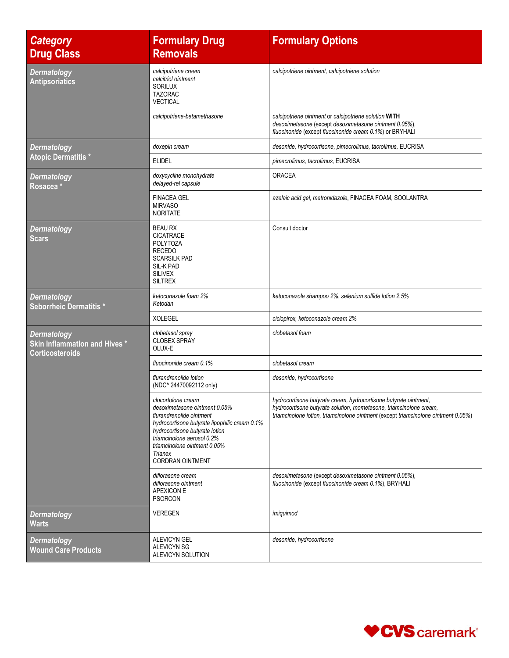| <b>Category</b><br><b>Drug Class</b>                                          | <b>Formulary Drug</b><br><b>Removals</b>                                                                                                                                                                                                                               | <b>Formulary Options</b>                                                                                                                                                                                                     |
|-------------------------------------------------------------------------------|------------------------------------------------------------------------------------------------------------------------------------------------------------------------------------------------------------------------------------------------------------------------|------------------------------------------------------------------------------------------------------------------------------------------------------------------------------------------------------------------------------|
| <b>Dermatology</b><br><b>Antipsoriatics</b>                                   | calcipotriene cream<br>calcitriol ointment<br>SORILUX<br><b>TAZORAC</b><br><b>VECTICAL</b>                                                                                                                                                                             | calcipotriene ointment, calcipotriene solution                                                                                                                                                                               |
|                                                                               | calcipotriene-betamethasone                                                                                                                                                                                                                                            | calcipotriene ointment or calcipotriene solution WITH<br>desoximetasone (except desoximetasone ointment 0.05%),<br>fluocinonide (except fluocinonide cream 0.1%) or BRYHALI                                                  |
| <b>Dermatology</b>                                                            | doxepin cream                                                                                                                                                                                                                                                          | desonide, hydrocortisone, pimecrolimus, tacrolimus, EUCRISA                                                                                                                                                                  |
| <b>Atopic Dermatitis*</b>                                                     | <b>ELIDEL</b>                                                                                                                                                                                                                                                          | pimecrolimus, tacrolimus, EUCRISA                                                                                                                                                                                            |
| <b>Dermatology</b><br>Rosacea <sup>*</sup>                                    | doxycycline monohydrate<br>delayed-rel capsule                                                                                                                                                                                                                         | ORACEA                                                                                                                                                                                                                       |
|                                                                               | <b>FINACEA GEL</b><br><b>MIRVASO</b><br><b>NORITATE</b>                                                                                                                                                                                                                | azelaic acid gel, metronidazole, FINACEA FOAM, SOOLANTRA                                                                                                                                                                     |
| <b>Dermatology</b><br>Scars                                                   | <b>BEAU RX</b><br><b>CICATRACE</b><br><b>POLYTOZA</b><br><b>RECEDO</b><br><b>SCARSILK PAD</b><br>SIL-K PAD<br><b>SILIVEX</b><br><b>SILTREX</b>                                                                                                                         | Consult doctor                                                                                                                                                                                                               |
| <b>Dermatology</b><br>Seborrheic Dermatitis *                                 | ketoconazole foam 2%<br>Ketodan                                                                                                                                                                                                                                        | ketoconazole shampoo 2%, selenium sulfide lotion 2.5%                                                                                                                                                                        |
|                                                                               | <b>XOLEGEL</b>                                                                                                                                                                                                                                                         | ciclopirox, ketoconazole cream 2%                                                                                                                                                                                            |
| <b>Dermatology</b><br>Skin Inflammation and Hives *<br><b>Corticosteroids</b> | clobetasol spray<br><b>CLOBEX SPRAY</b><br>OLUX-E                                                                                                                                                                                                                      | clobetasol foam                                                                                                                                                                                                              |
|                                                                               | fluocinonide cream 0.1%                                                                                                                                                                                                                                                | clobetasol cream                                                                                                                                                                                                             |
|                                                                               | flurandrenolide lotion<br>(NDC^24470092112 only)                                                                                                                                                                                                                       | desonide, hydrocortisone                                                                                                                                                                                                     |
|                                                                               | clocortolone cream<br>desoximetasone ointment 0.05%<br>flurandrenolide ointment<br>hydrocortisone butyrate lipophilic cream 0.1%<br>hydrocortisone butyrate lotion<br>triamcinolone aerosol 0.2%<br>triamcinolone ointment 0.05%<br>Trianex<br><b>CORDRAN OINTMENT</b> | hydrocortisone butyrate cream, hydrocortisone butyrate ointment,<br>hydrocortisone butyrate solution, mometasone, triamcinolone cream,<br>triamcinolone lotion, triamcinolone ointment (except triamcinolone ointment 0.05%) |
|                                                                               | diflorasone cream<br>diflorasone ointment<br><b>APEXICON E</b><br><b>PSORCON</b>                                                                                                                                                                                       | desoximetasone (except desoximetasone ointment 0.05%),<br>fluocinonide (except fluocinonide cream 0.1%), BRYHALI                                                                                                             |
| <b>Dermatology</b><br><b>Warts</b>                                            | <b>VEREGEN</b>                                                                                                                                                                                                                                                         | imiquimod                                                                                                                                                                                                                    |
| <b>Dermatology</b><br><b>Wound Care Products</b>                              | <b>ALEVICYN GEL</b><br><b>ALEVICYN SG</b><br>ALEVICYN SOLUTION                                                                                                                                                                                                         | desonide, hydrocortisone                                                                                                                                                                                                     |

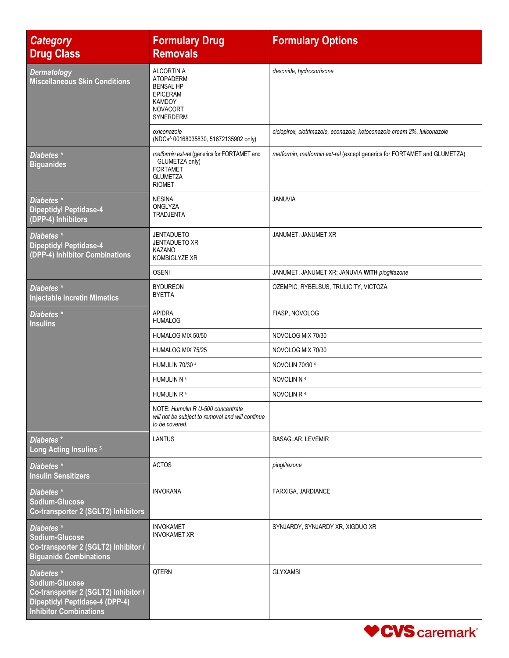| <b>Category</b><br><b>Drug Class</b>                                                                                                           | <b>Formulary Drug</b><br><b>Removals</b>                                                                                      | <b>Formulary Options</b>                                                 |
|------------------------------------------------------------------------------------------------------------------------------------------------|-------------------------------------------------------------------------------------------------------------------------------|--------------------------------------------------------------------------|
| <b>Dermatology</b><br><b>Miscellaneous Skin Conditions</b>                                                                                     | <b>ALCORTIN A</b><br><b>ATOPADERM</b><br><b>BENSAL HP</b><br><b>EPICERAM</b><br><b>KAMDOY</b><br><b>NOVACORT</b><br>SYNERDERM | desonide, hydrocortisone                                                 |
|                                                                                                                                                | oxiconazole<br>(NDCs^ 00168035830, 51672135902 only)                                                                          | ciclopirox, clotrimazole, econazole, ketoconazole cream 2%, luliconazole |
| Diabetes <sup>*</sup><br><b>Biguanides</b>                                                                                                     | metformin ext-rel (generics for FORTAMET and<br>GLUMETZA only)<br><b>FORTAMET</b><br><b>GLUMETZA</b><br><b>RIOMET</b>         | metformin, metformin ext-rel (except generics for FORTAMET and GLUMETZA) |
| Diabetes <sup>*</sup><br><b>Dipeptidyl Peptidase-4</b><br>(DPP-4) Inhibitors                                                                   | <b>NESINA</b><br>ONGLYZA<br><b>TRADJENTA</b>                                                                                  | JANUVIA                                                                  |
| Diabetes *<br><b>Dipeptidyl Peptidase-4</b><br>(DPP-4) Inhibitor Combinations                                                                  | <b>JENTADUETO</b><br><b>JENTADUETO XR</b><br><b>KAZANO</b><br>KOMBIGLYZE XR                                                   | JANUMET, JANUMET XR                                                      |
|                                                                                                                                                | <b>OSENI</b>                                                                                                                  | JANUMET, JANUMET XR; JANUVIA WITH pioglitazone                           |
| Diabetes <sup>*</sup><br><b>Injectable Incretin Mimetics</b>                                                                                   | <b>BYDUREON</b><br><b>BYETTA</b>                                                                                              | OZEMPIC, RYBELSUS, TRULICITY, VICTOZA                                    |
| Diabetes <sup>*</sup><br><b>Insulins</b>                                                                                                       | <b>APIDRA</b><br><b>HUMALOG</b>                                                                                               | FIASP, NOVOLOG                                                           |
|                                                                                                                                                | HUMALOG MIX 50/50                                                                                                             | NOVOLOG MIX 70/30                                                        |
|                                                                                                                                                | HUMALOG MIX 75/25                                                                                                             | NOVOLOG MIX 70/30                                                        |
|                                                                                                                                                | <b>HUMULIN 70/30 4</b>                                                                                                        | NOVOLIN 70/30 4                                                          |
|                                                                                                                                                | HUMULIN N 4                                                                                                                   | NOVOLIN N 4                                                              |
|                                                                                                                                                | HUMULIN R <sup>4</sup>                                                                                                        | NOVOLIN R <sup>4</sup>                                                   |
|                                                                                                                                                | NOTE: Humulin R U-500 concentrate<br>will not be subject to removal and will continue<br>to be covered.                       |                                                                          |
| Diabetes*<br>Long Acting Insulins <sup>5</sup>                                                                                                 | <b>LANTUS</b>                                                                                                                 | <b>BASAGLAR, LEVEMIR</b>                                                 |
| Diabetes *<br><b>Insulin Sensitizers</b>                                                                                                       | <b>ACTOS</b>                                                                                                                  | pioglitazone                                                             |
| Diabetes *<br>Sodium-Glucose<br>Co-transporter 2 (SGLT2) Inhibitors                                                                            | <b>INVOKANA</b>                                                                                                               | FARXIGA, JARDIANCE                                                       |
| Diabetes *<br>Sodium-Glucose<br>Co-transporter 2 (SGLT2) Inhibitor /<br><b>Biguanide Combinations</b>                                          | <b>INVOKAMET</b><br><b>INVOKAMET XR</b>                                                                                       | SYNJARDY, SYNJARDY XR, XIGDUO XR                                         |
| Diabetes *<br>Sodium-Glucose<br>Co-transporter 2 (SGLT2) Inhibitor /<br><b>Dipeptidyl Peptidase-4 (DPP-4)</b><br><b>Inhibitor Combinations</b> | QTERN                                                                                                                         | <b>GLYXAMBI</b>                                                          |

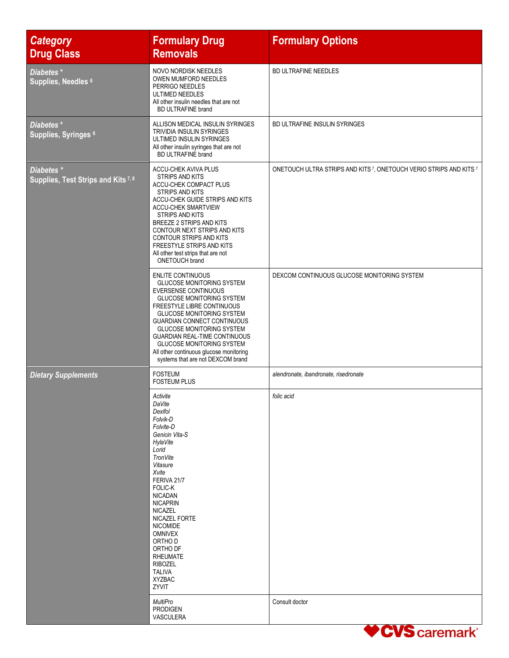| <b>Category</b><br><b>Drug Class</b>                         | <b>Formulary Drug</b><br><b>Removals</b>                                                                                                                                                                                                                                                                                                                                                                                         | <b>Formulary Options</b>                                                                  |
|--------------------------------------------------------------|----------------------------------------------------------------------------------------------------------------------------------------------------------------------------------------------------------------------------------------------------------------------------------------------------------------------------------------------------------------------------------------------------------------------------------|-------------------------------------------------------------------------------------------|
| Diabetes*<br>Supplies, Needles <sup>6</sup>                  | NOVO NORDISK NEEDLES<br><b>OWEN MUMFORD NEEDLES</b><br>PERRIGO NEEDLES<br>ULTIMED NEEDLES<br>All other insulin needles that are not<br><b>BD ULTRAFINE brand</b>                                                                                                                                                                                                                                                                 | BD ULTRAFINE NEEDLES                                                                      |
| Diabetes*<br>Supplies, Syringes 6                            | ALLISON MEDICAL INSULIN SYRINGES<br><b>TRIVIDIA INSULIN SYRINGES</b><br>ULTIMED INSULIN SYRINGES<br>All other insulin syringes that are not<br><b>BD ULTRAFINE brand</b>                                                                                                                                                                                                                                                         | BD ULTRAFINE INSULIN SYRINGES                                                             |
| Diabetes <sup>*</sup><br>Supplies, Test Strips and Kits 7, 8 | ACCU-CHEK AVIVA PLUS<br>STRIPS AND KITS<br>ACCU-CHEK COMPACT PLUS<br>STRIPS AND KITS<br>ACCU-CHEK GUIDE STRIPS AND KITS<br><b>ACCU-CHEK SMARTVIEW</b><br><b>STRIPS AND KITS</b><br>BREEZE 2 STRIPS AND KITS<br>CONTOUR NEXT STRIPS AND KITS<br><b>CONTOUR STRIPS AND KITS</b><br>FREESTYLE STRIPS AND KITS<br>All other test strips that are not<br><b>ONETOUCH brand</b>                                                        | ONETOUCH ULTRA STRIPS AND KITS <sup>7</sup> , ONETOUCH VERIO STRIPS AND KITS <sup>7</sup> |
|                                                              | <b>ENLITE CONTINUOUS</b><br><b>GLUCOSE MONITORING SYSTEM</b><br>EVERSENSE CONTINUOUS<br><b>GLUCOSE MONITORING SYSTEM</b><br>FREESTYLE LIBRE CONTINUOUS<br><b>GLUCOSE MONITORING SYSTEM</b><br><b>GUARDIAN CONNECT CONTINUOUS</b><br><b>GLUCOSE MONITORING SYSTEM</b><br><b>GUARDIAN REAL-TIME CONTINUOUS</b><br><b>GLUCOSE MONITORING SYSTEM</b><br>All other continuous glucose monitoring<br>systems that are not DEXCOM brand | DEXCOM CONTINUOUS GLUCOSE MONITORING SYSTEM                                               |
| <b>Dietary Supplements</b>                                   | <b>FOSTEUM</b><br><b>FOSTEUM PLUS</b>                                                                                                                                                                                                                                                                                                                                                                                            | alendronate, ibandronate, risedronate                                                     |
|                                                              | Activite<br>DaVite<br>Dexifol<br>Folvik-D<br>Folvite-D<br>Genicin Vita-S<br><b>HylaVite</b><br>Lorid<br><b>TronVite</b><br>Vitasure<br>Xvite<br>FERIVA 21/7<br><b>FOLIC-K</b><br><b>NICADAN</b><br><b>NICAPRIN</b><br><b>NICAZEL</b><br>NICAZEL FORTE<br><b>NICOMIDE</b><br><b>OMNIVEX</b><br>ORTHO D<br>ORTHO DF<br><b>RHEUMATE</b><br><b>RIBOZEL</b><br><b>TALIVA</b><br><b>XYZBAC</b><br>ZYVIT                                | folic acid                                                                                |
|                                                              | MultiPro<br><b>PRODIGEN</b><br><b>VASCULERA</b>                                                                                                                                                                                                                                                                                                                                                                                  | Consult doctor<br>$\sqrt{1}$                                                              |

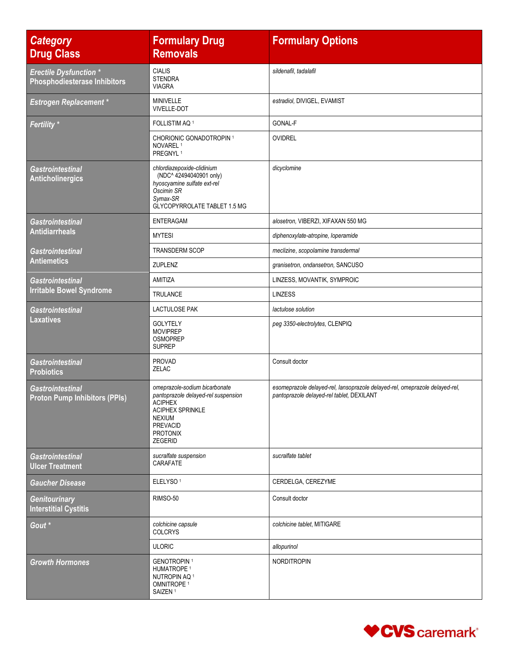| <b>Category</b><br><b>Drug Class</b>                                 | <b>Formulary Drug</b><br><b>Removals</b>                                                                                                                                            | <b>Formulary Options</b>                                                                                                 |
|----------------------------------------------------------------------|-------------------------------------------------------------------------------------------------------------------------------------------------------------------------------------|--------------------------------------------------------------------------------------------------------------------------|
| <b>Erectile Dysfunction *</b><br><b>Phosphodiesterase Inhibitors</b> | <b>CIALIS</b><br><b>STENDRA</b><br><b>VIAGRA</b>                                                                                                                                    | sildenafil, tadalafil                                                                                                    |
| <b>Estrogen Replacement *</b>                                        | <b>MINIVELLE</b><br><b>VIVELLE-DOT</b>                                                                                                                                              | estradiol, DIVIGEL, EVAMIST                                                                                              |
| Fertility *                                                          | FOLLISTIM AQ <sup>1</sup>                                                                                                                                                           | <b>GONAL-F</b>                                                                                                           |
|                                                                      | <b>CHORIONIC GONADOTROPIN 1</b><br>NOVAREL <sup>1</sup><br>PREGNYL <sup>1</sup>                                                                                                     | <b>OVIDREL</b>                                                                                                           |
| Gastrointestinal<br><b>Anticholinergics</b>                          | chlordiazepoxide-clidinium<br>(NDC^42494040901 only)<br>hyoscyamine sulfate ext-rel<br>Oscimin SR<br>Symax-SR<br>GLYCOPYRROLATE TABLET 1.5 MG                                       | dicyclomine                                                                                                              |
| Gastrointestinal                                                     | <b>ENTERAGAM</b>                                                                                                                                                                    | alosetron, VIBERZI, XIFAXAN 550 MG                                                                                       |
| <b>Antidiarrheals</b>                                                | <b>MYTESI</b>                                                                                                                                                                       | diphenoxylate-atropine, loperamide                                                                                       |
| <b>Gastrointestinal</b>                                              | <b>TRANSDERM SCOP</b>                                                                                                                                                               | meclizine, scopolamine transdermal                                                                                       |
| <b>Antiemetics</b>                                                   | ZUPLENZ                                                                                                                                                                             | granisetron, ondansetron, SANCUSO                                                                                        |
| <b>Gastrointestinal</b>                                              | AMITIZA                                                                                                                                                                             | LINZESS, MOVANTIK, SYMPROIC                                                                                              |
| <b>Irritable Bowel Syndrome</b>                                      | <b>TRULANCE</b>                                                                                                                                                                     | <b>LINZESS</b>                                                                                                           |
| Gastrointestinal                                                     | <b>LACTULOSE PAK</b>                                                                                                                                                                | lactulose solution                                                                                                       |
| Laxatives                                                            | <b>GOLYTELY</b><br><b>MOVIPREP</b><br><b>OSMOPREP</b><br><b>SUPREP</b>                                                                                                              | peg 3350-electrolytes, CLENPIQ                                                                                           |
| Gastrointestinal<br><b>Probiotics</b>                                | <b>PROVAD</b><br>ZELAC                                                                                                                                                              | Consult doctor                                                                                                           |
| <b>Gastrointestinal</b><br><b>Proton Pump Inhibitors (PPIs)</b>      | omeprazole-sodium bicarbonate<br>pantoprazole delayed-rel suspension<br><b>ACIPHEX</b><br><b>ACIPHEX SPRINKLE</b><br><b>NEXIUM</b><br><b>PREVACID</b><br><b>PROTONIX</b><br>ZEGERID | esomeprazole delayed-rel, lansoprazole delayed-rel, omeprazole delayed-rel,<br>pantoprazole delayed-rel tablet, DEXILANT |
| <b>Gastrointestinal</b><br><b>Ulcer Treatment</b>                    | sucralfate suspension<br>CARAFATE                                                                                                                                                   | sucralfate tablet                                                                                                        |
| <b>Gaucher Disease</b>                                               | ELELYSO <sup>1</sup>                                                                                                                                                                | CERDELGA, CEREZYME                                                                                                       |
| <b>Genitourinary</b><br><b>Interstitial Cystitis</b>                 | RIMSO-50                                                                                                                                                                            | Consult doctor                                                                                                           |
| Gout <sup>*</sup>                                                    | colchicine capsule<br><b>COLCRYS</b>                                                                                                                                                | colchicine tablet, MITIGARE                                                                                              |
|                                                                      | <b>ULORIC</b>                                                                                                                                                                       | allopurinol                                                                                                              |
| <b>Growth Hormones</b>                                               | <b>GENOTROPIN1</b><br>HUMATROPE <sup>1</sup><br>NUTROPIN AQ <sup>1</sup><br>OMNITROPE <sup>1</sup><br>SAIZEN <sup>1</sup>                                                           | NORDITROPIN                                                                                                              |

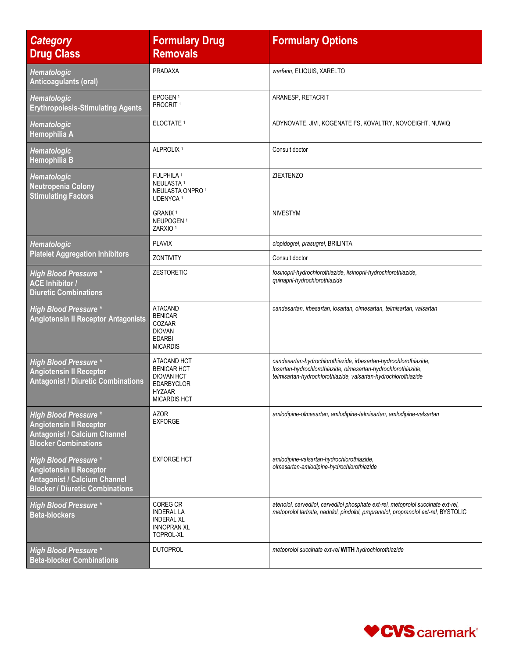| <b>Category</b><br><b>Drug Class</b>                                                                                                            | <b>Formulary Drug</b><br><b>Removals</b>                                                                            | <b>Formulary Options</b>                                                                                                                                                                            |
|-------------------------------------------------------------------------------------------------------------------------------------------------|---------------------------------------------------------------------------------------------------------------------|-----------------------------------------------------------------------------------------------------------------------------------------------------------------------------------------------------|
| Hematologic<br>Anticoagulants (oral)                                                                                                            | <b>PRADAXA</b>                                                                                                      | warfarin, ELIQUIS, XARELTO                                                                                                                                                                          |
| Hematologic<br><b>Erythropoiesis-Stimulating Agents</b>                                                                                         | EPOGEN <sup>1</sup><br>PROCRIT <sup>1</sup>                                                                         | ARANESP, RETACRIT                                                                                                                                                                                   |
| Hematologic<br>Hemophilia A                                                                                                                     | ELOCTATE <sup>1</sup>                                                                                               | ADYNOVATE, JIVI, KOGENATE FS, KOVALTRY, NOVOEIGHT, NUWIQ                                                                                                                                            |
| Hematologic<br>Hemophilia B                                                                                                                     | ALPROLIX <sup>1</sup>                                                                                               | Consult doctor                                                                                                                                                                                      |
| Hematologic<br><b>Neutropenia Colony</b><br><b>Stimulating Factors</b>                                                                          | FULPHILA <sup>1</sup><br>NEULASTA <sup>1</sup><br>NEULASTA ONPRO <sup>1</sup><br>UDENYCA <sup>1</sup>               | <b>ZIEXTENZO</b>                                                                                                                                                                                    |
|                                                                                                                                                 | GRANIX <sup>1</sup><br>NEUPOGEN <sup>1</sup><br>ZARXIO <sup>1</sup>                                                 | <b>NIVESTYM</b>                                                                                                                                                                                     |
| Hematologic                                                                                                                                     | <b>PLAVIX</b>                                                                                                       | clopidogrel, prasugrel, BRILINTA                                                                                                                                                                    |
| <b>Platelet Aggregation Inhibitors</b>                                                                                                          | ZONTIVITY                                                                                                           | Consult doctor                                                                                                                                                                                      |
| <b>High Blood Pressure *</b><br><b>ACE Inhibitor /</b><br><b>Diuretic Combinations</b>                                                          | <b>ZESTORETIC</b>                                                                                                   | fosinopril-hydrochlorothiazide, lisinopril-hydrochlorothiazide,<br>quinapril-hydrochlorothiazide                                                                                                    |
| <b>High Blood Pressure *</b><br><b>Angiotensin II Receptor Antagonists</b>                                                                      | <b>ATACAND</b><br><b>BENICAR</b><br>COZAAR<br><b>DIOVAN</b><br><b>EDARBI</b><br><b>MICARDIS</b>                     | candesartan, irbesartan, losartan, olmesartan, telmisartan, valsartan                                                                                                                               |
| <b>High Blood Pressure *</b><br><b>Angiotensin II Receptor</b><br><b>Antagonist / Diuretic Combinations</b>                                     | ATACAND HCT<br><b>BENICAR HCT</b><br><b>DIOVAN HCT</b><br><b>EDARBYCLOR</b><br><b>HYZAAR</b><br><b>MICARDIS HCT</b> | candesartan-hydrochlorothiazide, irbesartan-hydrochlorothiazide,<br>losartan-hydrochlorothiazide, olmesartan-hydrochlorothiazide,<br>telmisartan-hydrochlorothiazide, valsartan-hydrochlorothiazide |
| <b>High Blood Pressure *</b><br><b>Angiotensin II Receptor</b><br><b>Antagonist / Calcium Channel</b><br><b>Blocker Combinations</b>            | <b>AZOR</b><br><b>EXFORGE</b>                                                                                       | amlodipine-olmesartan, amlodipine-telmisartan, amlodipine-valsartan                                                                                                                                 |
| <b>High Blood Pressure *</b><br><b>Angiotensin II Receptor</b><br><b>Antagonist / Calcium Channel</b><br><b>Blocker / Diuretic Combinations</b> | <b>EXFORGE HCT</b>                                                                                                  | amlodipine-valsartan-hydrochlorothiazide,<br>olmesartan-amlodipine-hydrochlorothiazide                                                                                                              |
| <b>High Blood Pressure *</b><br><b>Beta-blockers</b>                                                                                            | COREG CR<br><b>INDERAL LA</b><br><b>INDERAL XL</b><br><b>INNOPRAN XL</b><br><b>TOPROL-XL</b>                        | atenolol, carvedilol, carvedilol phosphate ext-rel, metoprolol succinate ext-rel,<br>metoprolol tartrate, nadolol, pindolol, propranolol, propranolol ext-rel, BYSTOLIC                             |
| <b>High Blood Pressure *</b><br><b>Beta-blocker Combinations</b>                                                                                | <b>DUTOPROL</b>                                                                                                     | metoprolol succinate ext-rel WITH hydrochlorothiazide                                                                                                                                               |

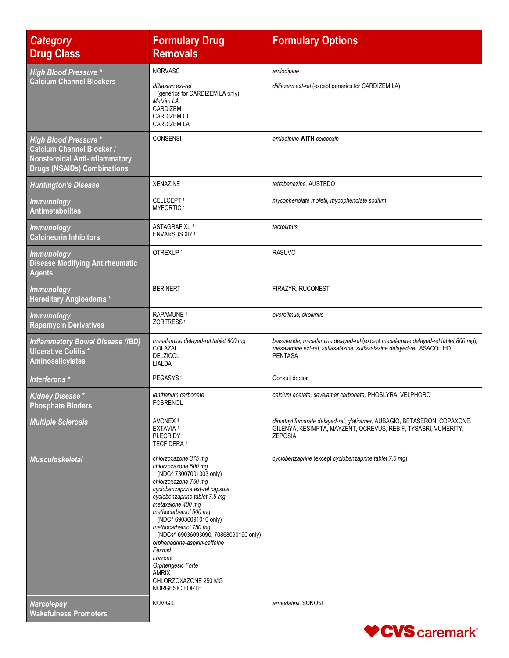| <b>Category</b><br><b>Drug Class</b>                                                                                                            | <b>Formulary Drug</b><br><b>Removals</b>                                                                                                                                                                                                                                                                                                                                                                                                          | <b>Formulary Options</b>                                                                                                                                                         |
|-------------------------------------------------------------------------------------------------------------------------------------------------|---------------------------------------------------------------------------------------------------------------------------------------------------------------------------------------------------------------------------------------------------------------------------------------------------------------------------------------------------------------------------------------------------------------------------------------------------|----------------------------------------------------------------------------------------------------------------------------------------------------------------------------------|
| <b>High Blood Pressure *</b>                                                                                                                    | <b>NORVASC</b>                                                                                                                                                                                                                                                                                                                                                                                                                                    | amlodipine                                                                                                                                                                       |
| <b>Calcium Channel Blockers</b>                                                                                                                 | diltiazem ext-rel<br>(generics for CARDIZEM LA only)<br>Matzim LA<br>CARDIZEM<br><b>CARDIZEM CD</b><br><b>CARDIZEM LA</b>                                                                                                                                                                                                                                                                                                                         | diltiazem ext-rel (except generics for CARDIZEM LA)                                                                                                                              |
| <b>High Blood Pressure *</b><br><b>Calcium Channel Blocker /</b><br><b>Nonsteroidal Anti-inflammatory</b><br><b>Drugs (NSAIDs) Combinations</b> | <b>CONSENSI</b>                                                                                                                                                                                                                                                                                                                                                                                                                                   | amlodipine WITH celecoxib                                                                                                                                                        |
| <b>Huntington's Disease</b>                                                                                                                     | XENAZINE <sup>1</sup>                                                                                                                                                                                                                                                                                                                                                                                                                             | tetrabenazine, AUSTEDO                                                                                                                                                           |
| <b>Immunology</b><br><b>Antimetabolites</b>                                                                                                     | CELLCEPT <sup>1</sup><br>MYFORTIC <sup>1</sup>                                                                                                                                                                                                                                                                                                                                                                                                    | mycophenolate mofetil, mycophenolate sodium                                                                                                                                      |
| <b>Immunology</b><br><b>Calcineurin Inhibitors</b>                                                                                              | ASTAGRAF XL <sup>1</sup><br>ENVARSUS XR 1                                                                                                                                                                                                                                                                                                                                                                                                         | tacrolimus                                                                                                                                                                       |
| <b>Immunology</b><br><b>Disease Modifying Antirheumatic</b><br><b>Agents</b>                                                                    | OTREXUP <sup>1</sup>                                                                                                                                                                                                                                                                                                                                                                                                                              | <b>RASUVO</b>                                                                                                                                                                    |
| <b>Immunology</b><br>Hereditary Angioedema*                                                                                                     | <b>BERINERT</b> <sup>1</sup>                                                                                                                                                                                                                                                                                                                                                                                                                      | FIRAZYR, RUCONEST                                                                                                                                                                |
| <b>Immunology</b><br><b>Rapamycin Derivatives</b>                                                                                               | RAPAMUNE <sup>1</sup><br>ZORTRESS <sup>1</sup>                                                                                                                                                                                                                                                                                                                                                                                                    | everolimus, sirolimus                                                                                                                                                            |
| <b>Inflammatory Bowel Disease (IBD)</b><br><b>Ulcerative Colitis*</b><br>Aminosalicylates                                                       | mesalamine delayed-rel tablet 800 mg<br>COLAZAL<br><b>DELZICOL</b><br>LIALDA                                                                                                                                                                                                                                                                                                                                                                      | balsalazide, mesalamine delayed-rel (except mesalamine delayed-rel tablet 800 mg),<br>mesalamine ext-rel, sulfasalazine, sulfasalazine delayed-rel, ASACOL HD,<br><b>PENTASA</b> |
| Interferons *                                                                                                                                   | PEGASYS <sup>1</sup>                                                                                                                                                                                                                                                                                                                                                                                                                              | Consult doctor                                                                                                                                                                   |
| <b>Kidney Disease*</b><br><b>Phosphate Binders</b>                                                                                              | lanthanum carbonate<br><b>FOSRENOL</b>                                                                                                                                                                                                                                                                                                                                                                                                            | calcium acetate, sevelamer carbonate, PHOSLYRA, VELPHORO                                                                                                                         |
| <b>Multiple Sclerosis</b>                                                                                                                       | AVONEX <sup>1</sup><br>EXTAVIA <sup>1</sup><br>PLEGRIDY <sup>1</sup><br><b>TECFIDERA<sup>1</sup></b>                                                                                                                                                                                                                                                                                                                                              | dimethyl fumarate delayed-rel, glatiramer, AUBAGIO, BETASERON, COPAXONE,<br>GILENYA, KESIMPTA, MAYZENT, OCREVUS, REBIF, TYSABRI, VUMERITY,<br><b>ZEPOSIA</b>                     |
| <b>Musculoskeletal</b>                                                                                                                          | chlorzoxazone 375 mg<br>chlorzoxazone 500 mg<br>(NDC^ 73007001303 only)<br>chlorzoxazone 750 mg<br>cyclobenzaprine ext-rel capsule<br>cyclobenzaprine tablet 7.5 mg<br>metaxalone 400 mg<br>methocarbamol 500 mg<br>(NDC^ 69036091010 only)<br>methocarbamol 750 mg<br>(NDCs^ 69036093090, 70868090190 only)<br>orphenadrine-aspirin-caffeine<br>Fexmid<br>Lorzone<br>Orphengesic Forte<br><b>AMRIX</b><br>CHLORZOXAZONE 250 MG<br>NORGESIC FORTE | cyclobenzaprine (except cyclobenzaprine tablet 7.5 mg)                                                                                                                           |
| <b>Narcolepsy</b><br><b>Wakefulness Promoters</b>                                                                                               | <b>NUVIGIL</b>                                                                                                                                                                                                                                                                                                                                                                                                                                    | armodafinil, SUNOSI                                                                                                                                                              |

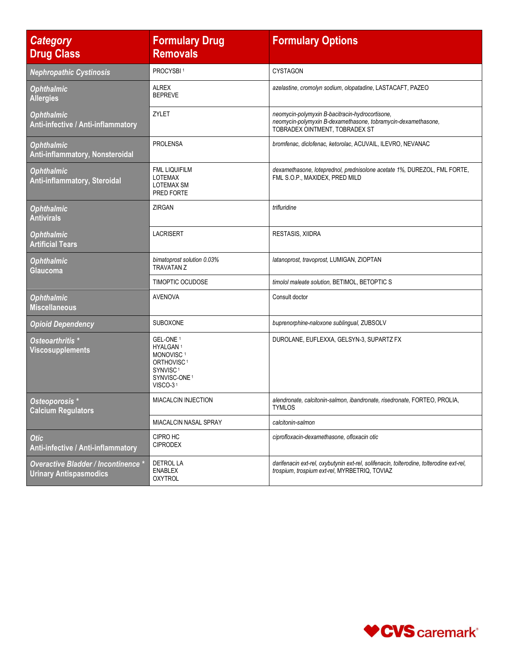| <b>Category</b><br><b>Drug Class</b>                                 | <b>Formulary Drug</b><br><b>Removals</b>                                                                                                                        | <b>Formulary Options</b>                                                                                                                           |
|----------------------------------------------------------------------|-----------------------------------------------------------------------------------------------------------------------------------------------------------------|----------------------------------------------------------------------------------------------------------------------------------------------------|
| <b>Nephropathic Cystinosis</b>                                       | PROCYSBI <sup>1</sup>                                                                                                                                           | <b>CYSTAGON</b>                                                                                                                                    |
| <b>Ophthalmic</b><br><b>Allergies</b>                                | <b>ALREX</b><br><b>BEPREVE</b>                                                                                                                                  | azelastine, cromolyn sodium, olopatadine, LASTACAFT, PAZEO                                                                                         |
| <b>Ophthalmic</b><br>Anti-infective / Anti-inflammatory              | ZYLET                                                                                                                                                           | neomycin-polymyxin B-bacitracin-hydrocortisone,<br>neomycin-polymyxin B-dexamethasone, tobramycin-dexamethasone,<br>TOBRADEX OINTMENT, TOBRADEX ST |
| <b>Ophthalmic</b><br><b>Anti-inflammatory, Nonsteroidal</b>          | <b>PROLENSA</b>                                                                                                                                                 | bromfenac, diclofenac, ketorolac, ACUVAIL, ILEVRO, NEVANAC                                                                                         |
| <b>Ophthalmic</b><br>Anti-inflammatory, Steroidal                    | <b>FML LIQUIFILM</b><br><b>LOTEMAX</b><br><b>LOTEMAX SM</b><br>PRED FORTE                                                                                       | dexamethasone, loteprednol, prednisolone acetate 1%, DUREZOL, FML FORTE,<br>FML S.O.P., MAXIDEX, PRED MILD                                         |
| <b>Ophthalmic</b><br><b>Antivirals</b>                               | ZIRGAN                                                                                                                                                          | trifluridine                                                                                                                                       |
| <b>Ophthalmic</b><br><b>Artificial Tears</b>                         | <b>LACRISERT</b>                                                                                                                                                | <b>RESTASIS, XIIDRA</b>                                                                                                                            |
| <b>Ophthalmic</b><br>Glaucoma                                        | bimatoprost solution 0.03%<br><b>TRAVATAN Z</b>                                                                                                                 | latanoprost, travoprost, LUMIGAN, ZIOPTAN                                                                                                          |
|                                                                      | TIMOPTIC OCUDOSE                                                                                                                                                | timolol maleate solution, BETIMOL, BETOPTIC S                                                                                                      |
| <b>Ophthalmic</b><br><b>Miscellaneous</b>                            | <b>AVENOVA</b>                                                                                                                                                  | Consult doctor                                                                                                                                     |
| <b>Opioid Dependency</b>                                             | SUBOXONE                                                                                                                                                        | buprenorphine-naloxone sublingual, ZUBSOLV                                                                                                         |
| Osteoarthritis *<br><b>Viscosupplements</b>                          | GEL-ONE <sup>1</sup><br>HYALGAN <sup>1</sup><br>MONOVISC <sup>1</sup><br>ORTHOVISC <sup>1</sup><br>SYNVISC <sup>1</sup><br>SYNVISC-ONE <sup>1</sup><br>VISCO-31 | DUROLANE, EUFLEXXA, GELSYN-3, SUPARTZ FX                                                                                                           |
| Osteoporosis *<br><b>Calcium Regulators</b>                          | <b>MIACALCIN INJECTION</b>                                                                                                                                      | alendronate, calcitonin-salmon, ibandronate, risedronate, FORTEO, PROLIA,<br><b>TYMLOS</b>                                                         |
|                                                                      | <b>MIACALCIN NASAL SPRAY</b>                                                                                                                                    | calcitonin-salmon                                                                                                                                  |
| <b>Otic</b><br>Anti-infective / Anti-inflammatory                    | CIPRO HC<br><b>CIPRODEX</b>                                                                                                                                     | ciprofloxacin-dexamethasone, ofloxacin otic                                                                                                        |
| Overactive Bladder / Incontinence *<br><b>Urinary Antispasmodics</b> | DETROL LA<br><b>ENABLEX</b><br><b>OXYTROL</b>                                                                                                                   | darifenacin ext-rel, oxybutynin ext-rel, solifenacin, tolterodine, tolterodine ext-rel,<br>trospium, trospium ext-rel, MYRBETRIQ, TOVIAZ           |

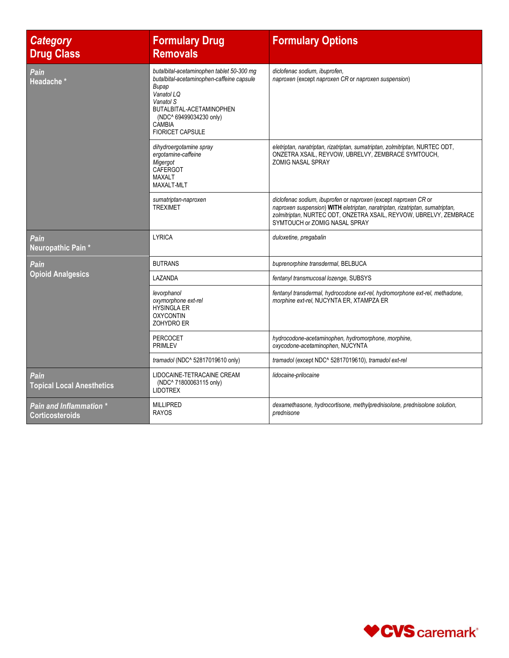| <b>Category</b><br><b>Drug Class</b>              | <b>Formulary Drug</b><br><b>Removals</b>                                                                                                                                                                                             | <b>Formulary Options</b>                                                                                                                                                                                                                               |
|---------------------------------------------------|--------------------------------------------------------------------------------------------------------------------------------------------------------------------------------------------------------------------------------------|--------------------------------------------------------------------------------------------------------------------------------------------------------------------------------------------------------------------------------------------------------|
| Pain<br>Headache *                                | butalbital-acetaminophen tablet 50-300 mg<br>butalbital-acetaminophen-caffeine capsule<br><b>Bupap</b><br>Vanatol LQ<br>Vanatol S<br>BUTALBITAL-ACETAMINOPHEN<br>(NDC^ 69499034230 only)<br><b>CAMBIA</b><br><b>FIORICET CAPSULE</b> | diclofenac sodium, ibuprofen,<br>naproxen (except naproxen CR or naproxen suspension)                                                                                                                                                                  |
|                                                   | dihydroergotamine spray<br>ergotamine-caffeine<br>Migergot<br>CAFERGOT<br>MAXALT<br><b>MAXALT-MLT</b>                                                                                                                                | eletriptan, naratriptan, rizatriptan, sumatriptan, zolmitriptan, NURTEC ODT,<br>ONZETRA XSAIL, REYVOW, UBRELVY, ZEMBRACE SYMTOUCH,<br><b>ZOMIG NASAL SPRAY</b>                                                                                         |
|                                                   | sumatriptan-naproxen<br><b>TREXIMET</b>                                                                                                                                                                                              | diclofenac sodium, ibuprofen or naproxen (except naproxen CR or<br>naproxen suspension) WITH eletriptan, naratriptan, rizatriptan, sumatriptan,<br>zolmitriptan, NURTEC ODT, ONZETRA XSAIL, REYVOW, UBRELVY, ZEMBRACE<br>SYMTOUCH or ZOMIG NASAL SPRAY |
| Pain<br>Neuropathic Pain*                         | <b>LYRICA</b>                                                                                                                                                                                                                        | duloxetine, pregabalin                                                                                                                                                                                                                                 |
| Pain                                              | <b>BUTRANS</b>                                                                                                                                                                                                                       | buprenorphine transdermal, BELBUCA                                                                                                                                                                                                                     |
| <b>Opioid Analgesics</b>                          | LAZANDA                                                                                                                                                                                                                              | fentanyl transmucosal lozenge, SUBSYS                                                                                                                                                                                                                  |
|                                                   | levorphanol<br>oxymorphone ext-rel<br><b>HYSINGLA ER</b><br><b>OXYCONTIN</b><br>ZOHYDRO ER                                                                                                                                           | fentanyl transdermal, hydrocodone ext-rel, hydromorphone ext-rel, methadone,<br>morphine ext-rel, NUCYNTA ER, XTAMPZA ER                                                                                                                               |
|                                                   | <b>PERCOCET</b><br><b>PRIMLEV</b>                                                                                                                                                                                                    | hydrocodone-acetaminophen, hydromorphone, morphine,<br>oxycodone-acetaminophen, NUCYNTA                                                                                                                                                                |
|                                                   | tramadol (NDC^ 52817019610 only)                                                                                                                                                                                                     | tramadol (except NDC^ 52817019610), tramadol ext-rel                                                                                                                                                                                                   |
| Pain<br><b>Topical Local Anesthetics</b>          | LIDOCAINE-TETRACAINE CREAM<br>(NDC^ 71800063115 only)<br><b>LIDOTREX</b>                                                                                                                                                             | lidocaine-prilocaine                                                                                                                                                                                                                                   |
| Pain and Inflammation *<br><b>Corticosteroids</b> | <b>MILLIPRED</b><br><b>RAYOS</b>                                                                                                                                                                                                     | dexamethasone, hydrocortisone, methylprednisolone, prednisolone solution,<br>prednisone                                                                                                                                                                |

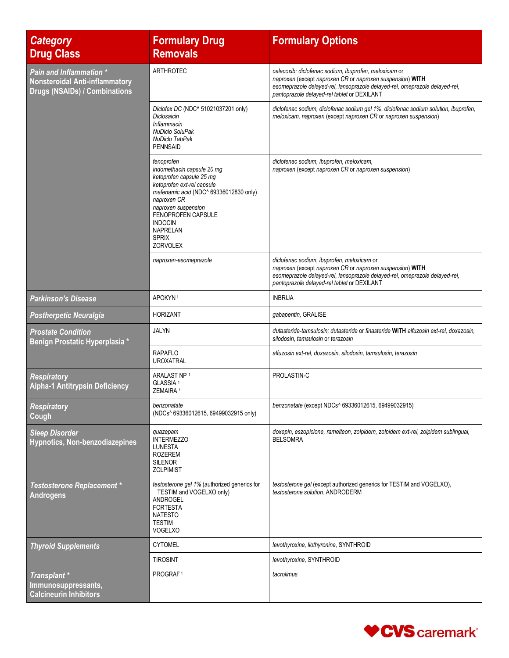| <b>Category</b><br><b>Drug Class</b>                                                                            | <b>Formulary Drug</b><br><b>Removals</b>                                                                                                                                                                                                                                  | <b>Formulary Options</b>                                                                                                                                                                                                                         |
|-----------------------------------------------------------------------------------------------------------------|---------------------------------------------------------------------------------------------------------------------------------------------------------------------------------------------------------------------------------------------------------------------------|--------------------------------------------------------------------------------------------------------------------------------------------------------------------------------------------------------------------------------------------------|
| <b>Pain and Inflammation *</b><br><b>Nonsteroidal Anti-inflammatory</b><br><b>Drugs (NSAIDs) / Combinations</b> | <b>ARTHROTEC</b>                                                                                                                                                                                                                                                          | celecoxib; diclofenac sodium, ibuprofen, meloxicam or<br>naproxen (except naproxen CR or naproxen suspension) WITH<br>esomeprazole delayed-rel, lansoprazole delayed-rel, omeprazole delayed-rel,<br>pantoprazole delayed-rel tablet or DEXILANT |
|                                                                                                                 | Diclofex DC (NDC^ 51021037201 only)<br>Diclosaicin<br>Inflammacin<br>NuDiclo SoluPak<br><b>NuDiclo TabPak</b><br><b>PENNSAID</b>                                                                                                                                          | diclofenac sodium, diclofenac sodium gel 1%, diclofenac sodium solution, ibuprofen,<br>meloxicam, naproxen (except naproxen CR or naproxen suspension)                                                                                           |
|                                                                                                                 | fenoprofen<br>indomethacin capsule 20 mg<br>ketoprofen capsule 25 mg<br>ketoprofen ext-rel capsule<br>mefenamic acid (NDC^ 69336012830 only)<br>naproxen CR<br>naproxen suspension<br>FENOPROFEN CAPSULE<br><b>INDOCIN</b><br>NAPRELAN<br><b>SPRIX</b><br><b>ZORVOLEX</b> | diclofenac sodium, ibuprofen, meloxicam,<br>naproxen (except naproxen CR or naproxen suspension)                                                                                                                                                 |
|                                                                                                                 | naproxen-esomeprazole                                                                                                                                                                                                                                                     | diclofenac sodium, ibuprofen, meloxicam or<br>naproxen (except naproxen CR or naproxen suspension) WITH<br>esomeprazole delayed-rel, lansoprazole delayed-rel, omeprazole delayed-rel,<br>pantoprazole delayed-rel tablet or DEXILANT            |
| <b>Parkinson's Disease</b>                                                                                      | APOKYN <sup>1</sup>                                                                                                                                                                                                                                                       | <b>INBRIJA</b>                                                                                                                                                                                                                                   |
| <b>Postherpetic Neuralgia</b>                                                                                   | <b>HORIZANT</b>                                                                                                                                                                                                                                                           | gabapentin, GRALISE                                                                                                                                                                                                                              |
| <b>Prostate Condition</b><br>Benign Prostatic Hyperplasia *                                                     | JALYN                                                                                                                                                                                                                                                                     | dutasteride-tamsulosin; dutasteride or finasteride WITH alfuzosin ext-rel, doxazosin,<br>silodosin, tamsulosin or terazosin                                                                                                                      |
|                                                                                                                 | <b>RAPAFLO</b><br><b>UROXATRAL</b>                                                                                                                                                                                                                                        | alfuzosin ext-rel, doxazosin, silodosin, tamsulosin, terazosin                                                                                                                                                                                   |
| <b>Respiratory</b><br><b>Alpha-1 Antitrypsin Deficiency</b>                                                     | ARALAST NP 1<br>GLASSIA <sup>1</sup><br>ZEMAIRA <sup>1</sup>                                                                                                                                                                                                              | PROLASTIN-C                                                                                                                                                                                                                                      |
| <b>Respiratory</b><br>Cough                                                                                     | benzonatate<br>(NDCs^ 69336012615, 69499032915 only)                                                                                                                                                                                                                      | benzonatate (except NDCs^ 69336012615, 69499032915)                                                                                                                                                                                              |
| <b>Sleep Disorder</b><br>Hypnotics, Non-benzodiazepines                                                         | quazepam<br><b>INTERMEZZO</b><br><b>LUNESTA</b><br>ROZEREM<br><b>SILENOR</b><br><b>ZOLPIMIST</b>                                                                                                                                                                          | doxepin, eszopiclone, ramelteon, zolpidem, zolpidem ext-rel, zolpidem sublingual,<br><b>BELSOMRA</b>                                                                                                                                             |
| <b>Testosterone Replacement *</b><br><b>Androgens</b>                                                           | testosterone gel 1% (authorized generics for<br>TESTIM and VOGELXO only)<br>ANDROGEL<br><b>FORTESTA</b><br><b>NATESTO</b><br><b>TESTIM</b><br><b>VOGELXO</b>                                                                                                              | testosterone gel (except authorized generics for TESTIM and VOGELXO),<br>testosterone solution, ANDRODERM                                                                                                                                        |
| <b>Thyroid Supplements</b>                                                                                      | <b>CYTOMEL</b>                                                                                                                                                                                                                                                            | levothyroxine, liothyronine, SYNTHROID                                                                                                                                                                                                           |
|                                                                                                                 | <b>TIROSINT</b>                                                                                                                                                                                                                                                           | levothyroxine, SYNTHROID                                                                                                                                                                                                                         |
| Transplant *<br>Immunosuppressants,<br><b>Calcineurin Inhibitors</b>                                            | PROGRAF <sup>1</sup>                                                                                                                                                                                                                                                      | tacrolimus                                                                                                                                                                                                                                       |

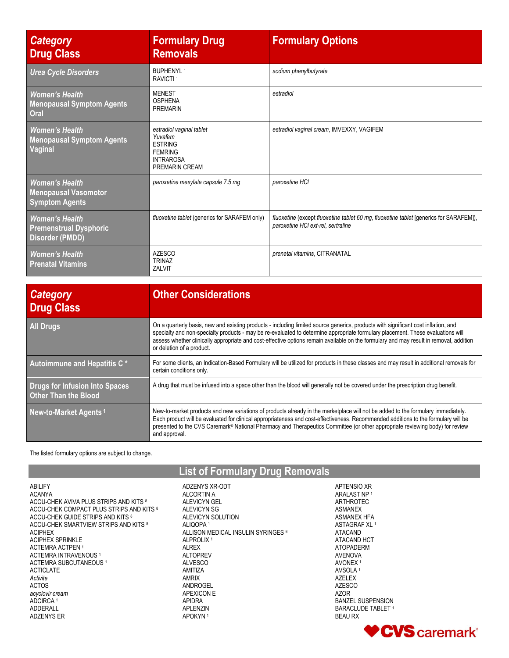| <b>Category</b><br><b>Drug Class</b>                                             | <b>Formulary Drug</b><br><b>Removals</b>                                                                      | <b>Formulary Options</b>                                                                                                     |
|----------------------------------------------------------------------------------|---------------------------------------------------------------------------------------------------------------|------------------------------------------------------------------------------------------------------------------------------|
| <b>Urea Cycle Disorders</b>                                                      | <b>BUPHENYI 1</b><br>RAVICTI <sup>1</sup>                                                                     | sodium phenylbutyrate                                                                                                        |
| <b>Women's Health</b><br><b>Menopausal Symptom Agents</b><br>Oral                | <b>MENEST</b><br><b>OSPHENA</b><br><b>PREMARIN</b>                                                            | estradiol                                                                                                                    |
| <b>Women's Health</b><br><b>Menopausal Symptom Agents</b><br>Vaginal             | estradiol vaginal tablet<br>Yuvafem<br><b>ESTRING</b><br><b>FEMRING</b><br><b>INTRAROSA</b><br>PREMARIN CREAM | estradiol vaginal cream, IMVEXXY, VAGIFEM                                                                                    |
| <b>Women's Health</b><br><b>Menopausal Vasomotor</b><br><b>Symptom Agents</b>    | paroxetine mesylate capsule 7.5 mg                                                                            | paroxetine HCI                                                                                                               |
| <b>Women's Health</b><br><b>Premenstrual Dysphoric</b><br><b>Disorder (PMDD)</b> | fluoxetine tablet (generics for SARAFEM only)                                                                 | fluoxetine (except fluoxetine tablet 60 mg, fluoxetine tablet [generics for SARAFEM]),<br>paroxetine HCI ext-rel, sertraline |
| <b>Women's Health</b><br><b>Prenatal Vitamins</b>                                | <b>AZESCO</b><br><b>TRINAZ</b><br>ZALVIT                                                                      | prenatal vitamins, CITRANATAL                                                                                                |

| <b>Category</b><br><b>Drug Class</b>                                 | <b>Other Considerations</b>                                                                                                                                                                                                                                                                                                                                                                                                                  |
|----------------------------------------------------------------------|----------------------------------------------------------------------------------------------------------------------------------------------------------------------------------------------------------------------------------------------------------------------------------------------------------------------------------------------------------------------------------------------------------------------------------------------|
| <b>All Drugs</b>                                                     | On a quarterly basis, new and existing products - including limited source generics, products with significant cost inflation, and<br>specialty and non-specialty products - may be re-evaluated to determine appropriate formulary placement. These evaluations will<br>assess whether clinically appropriate and cost-effective options remain available on the formulary and may result in removal, addition<br>or deletion of a product. |
| Autoimmune and Hepatitis C*                                          | For some clients, an Indication-Based Formulary will be utilized for products in these classes and may result in additional removals for<br>certain conditions only.                                                                                                                                                                                                                                                                         |
| <b>Drugs for Infusion Into Spaces</b><br><b>Other Than the Blood</b> | A drug that must be infused into a space other than the blood will generally not be covered under the prescription drug benefit.                                                                                                                                                                                                                                                                                                             |
| New-to-Market Agents <sup>1</sup>                                    | New-to-market products and new variations of products already in the marketplace will not be added to the formulary immediately.<br>Each product will be evaluated for clinical appropriateness and cost-effectiveness. Recommended additions to the formulary will be<br>presented to the CVS Caremark® National Pharmacy and Therapeutics Committee (or other appropriate reviewing body) for review<br>and approval.                      |

## The listed formulary options are subject to change.

## **List of Formulary Drug Removals**

ABILIFY ACANYA ACCU-CHEK AVIVA PLUS STRIPS AND KITS 8 ACCU-CHEK COMPACT PLUS STRIPS AND KITS <sup>8</sup> ACCU-CHEK GUIDE STRIPS AND KITS 8 ACCU-CHEK SMARTVIEW STRIPS AND KITS 8 ACIPHEX ACIPHEX SPRINKLE ACTEMRA ACTPEN <sup>1</sup> ACTEMRA INTRAVENOUS <sup>1</sup> ACTEMRA SUBCUTANEOUS<sup>1</sup> ACTICLATE *Activite* ACTOS *acyclovir cream* ADCIRCA <sup>1</sup> ADDERALL ADZENYS ER

ADZENYS XR-ODT ALCORTIN A ALEVICYN GEL ALEVICYN SG ALEVICYN SOLUTION ALIQOPA <sup>1</sup> ALLISON MEDICAL INSULIN SYRINGES <sup>6</sup> ALPROLIX <sup>1</sup> ALREX ALTOPREV ALVESCO AMITIZA AMRIX ANDROGEL APEXICON E APIDRA APLENZIN APOKYN <sup>1</sup>

ARALAST NP <sup>1</sup> ARTHROTEC ASMANEX ASMANEX HFA ASTAGRAF XL <sup>1</sup> ATACAND ATACAND HCT ATOPADERM AVENOVA AVONEX <sup>1</sup> AVSOLA <sup>1</sup> AZELEX AZESCO AZOR BANZEL SUSPENSION BARACLUDE TABLET 1 BEAU RX

APTENSIO XR

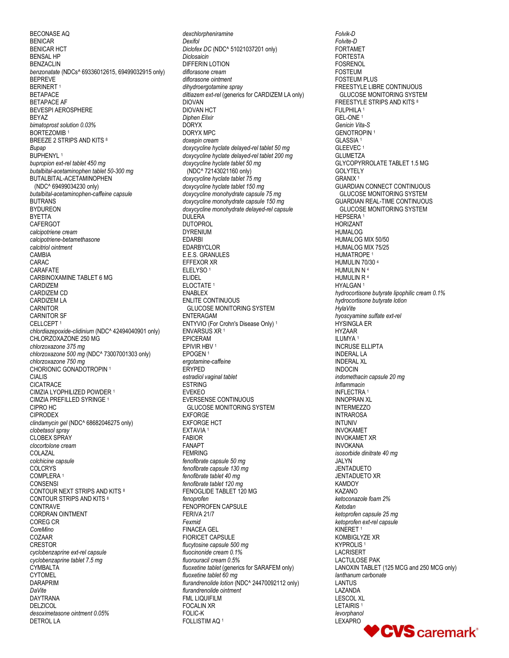BECONASE AQ BENICAR BENICAR HCT BENSAL HP BENZACLIN *benzonatate* (NDCs^ 69336012615, 69499032915 only) BEPREVE BERINERT<sup>1</sup> BETAPACE BETAPACE AF BEVESPI AEROSPHERE BEYAZ *bimatoprost solution 0.03%* BORTEZOMIB<sup>1</sup> BREEZE 2 STRIPS AND KITS <sup>8</sup> *Bupap* BUPHENYL<sup>1</sup> *bupropion ext-rel tablet 450 mg butalbital-acetaminophen tablet 50-300 mg* BUTALBITAL-ACETAMINOPHEN (NDC^ 69499034230 only) *butalbital-acetaminophen-caffeine capsule* BUTRANS BYDUREON BYETTA **CAFERGOT** *calcipotriene cream calcipotriene-betamethasone calcitriol ointment* CAMBIA CARAC CARAFATE CARBINOXAMINE TABLET 6 MG CARDIZEM CARDIZEM CD CARDIZEM LA CARNITOR CARNITOR SF CELLCEPT<sub>1</sub> *chlordiazepoxide-clidinium* (NDC^ 42494040901 only) CHLORZOXAZONE 250 MG *chlorzoxazone 375 mg chlorzoxazone 500 mg* (NDC^ 73007001303 only) *chlorzoxazone 750 mg* CHORIONIC GONADOTROPIN<sup>1</sup> CIALIS CICATRACE CIMZIA LYOPHILIZED POWDER <sup>1</sup> CIMZIA PREFILLED SYRINGE <sup>1</sup> CIPRO HC CIPRODEX *clindamycin gel* (NDC^ 68682046275 only) *clobetasol spray* CLOBEX SPRAY *clocortolone cream* COLAZAL *colchicine capsule* COLCRYS COMPLERA <sup>1</sup> **CONSENSI** CONTOUR NEXT STRIPS AND KITS <sup>8</sup> CONTOUR STRIPS AND KITS <sup>8</sup> CONTRAVE CORDRAN OINTMENT COREG CR *CoreMino* COZAAR CRESTOR *cyclobenzaprine ext-rel capsule cyclobenzaprine tablet 7.5 mg* CYMBALTA CYTOMEL DARAPRIM *DaVite* DAYTRANA **DELZICOL** *desoximetasone ointment 0.05%* DETROL LA

*dexchlorpheniramine Dexifol Diclofex DC* (NDC^ 51021037201 only) *Diclosaicin* DIFFERIN LOTION *diflorasone cream diflorasone ointment dihydroergotamine spray diltiazem ext-rel* (generics for CARDIZEM LA only) DIOVAN DIOVAN HCT *Diphen Elixir* DORYX DORYX MPC *doxepin cream doxycycline hyclate delayed-rel tablet 50 mg doxycycline hyclate delayed-rel tablet 200 mg doxycycline hyclate tablet 50 mg* (NDC^ 72143021160 only) *doxycycline hyclate tablet 75 mg doxycycline hyclate tablet 150 mg doxycycline monohydrate capsule 75 mg doxycycline monohydrate capsule 150 mg doxycycline monohydrate delayed-rel capsule* DULERA DUTOPROL DYRENIUM EDARBI EDARBYCLOR E.E.S. GRANULES EFFEXOR XR ELELYSO <sup>1</sup> ELIDEL ELOCTATE <sup>1</sup> ENABLEX ENLITE CONTINUOUS GLUCOSE MONITORING SYSTEM ENTERAGAM ENTYVIO (For Crohn's Disease Only) <sup>1</sup> ENVARSUS XR <sup>1</sup> EPICERAM EPIVIR HBV <sup>1</sup> EPOGEN <sup>1</sup> *ergotamine-caffeine* ERYPED *estradiol vaginal tablet* ESTRING EVEKEO EVERSENSE CONTINUOUS GLUCOSE MONITORING SYSTEM EXFORGE EXFORGE HCT EXTAVIA <sup>1</sup> FABIOR FANAPT FEMRING *fenofibrate capsule 50 mg fenofibrate capsule 130 mg fenofibrate tablet 40 mg fenofibrate tablet 120 mg* FENOGLIDE TABLET 120 MG *fenoprofen* FENOPROFEN CAPSULE FERIVA 21/7 *Fexmid* FINACEA GEL FIORICET CAPSULE *flucytosine capsule 500 mg fluocinonide cream 0.1% fluorouracil cream 0.5% fluoxetine tablet* (generics for SARAFEM only) *fluoxetine tablet 60 mg flurandrenolide lotion* (NDC^ 24470092112 only) *flurandrenolide ointment* FML LIQUIFILM FOCALIN XR FOLIC-K FOLLISTIM AQ <sup>1</sup>

*Folvik-D Folvite-D* FORTAMET FORTESTA FOSRENOL FOSTEUM FOSTEUM PLUS FREESTYLE LIBRE CONTINUOUS GLUCOSE MONITORING SYSTEM FREESTYLE STRIPS AND KITS <sup>8</sup> FULPHILA <sup>1</sup> GEL-ONE <sup>1</sup> *Genicin Vita-S* GENOTROPIN<sup>1</sup> GLASSIA <sup>1</sup> GLEEVEC <sup>1</sup> **GLUMETZA** GLYCOPYRROLATE TABLET 1.5 MG GOLYTELY GRANIX <sup>1</sup> GUARDIAN CONNECT CONTINUOUS GLUCOSE MONITORING SYSTEM GUARDIAN REAL-TIME CONTINUOUS GLUCOSE MONITORING SYSTEM HEPSERA <sup>1</sup> HORIZANT HUMALOG HUMALOG MIX 50/50 HUMALOG MIX 75/25 HUMATROPE<sup>1</sup> HUMULIN 70/30 <sup>4</sup> HUMULIN N <sup>4</sup> HUMULIN R <sup>4</sup> HYALGAN <sup>1</sup> *hydrocortisone butyrate lipophilic cream 0.1% hydrocortisone butyrate lotion HylaVite hyoscyamine sulfate ext-rel* HYSINGLA ER HYZAAR ILUMYA <sup>1</sup> INCRUSE ELLIPTA INDERAL LA INDERAL XL INDOCIN *indomethacin capsule 20 mg Inflammacin* INFLECTRA<sup>1</sup> INNOPRAN XL **INTERMEZZO** INTRAROSA INTUNIV INVOKAMET INVOKAMET XR INVOKANA *isosorbide dinitrate 40 mg* JALYN JENTADUETO JENTADUETO XR **KAMDOY** KAZANO *ketoconazole foam 2% Ketodan ketoprofen capsule 25 mg ketoprofen ext-rel capsule* KINERET <sup>1</sup> KOMBIGLYZE XR KYPROLIS<sup>1</sup> LACRISERT LACTULOSE PAK LANOXIN TABLET (125 MCG and 250 MCG only) *lanthanum carbonate* LANTUS LAZANDA LESCOL XL LETAIRIS <sup>1</sup> *levorphanol* LEXAPRO

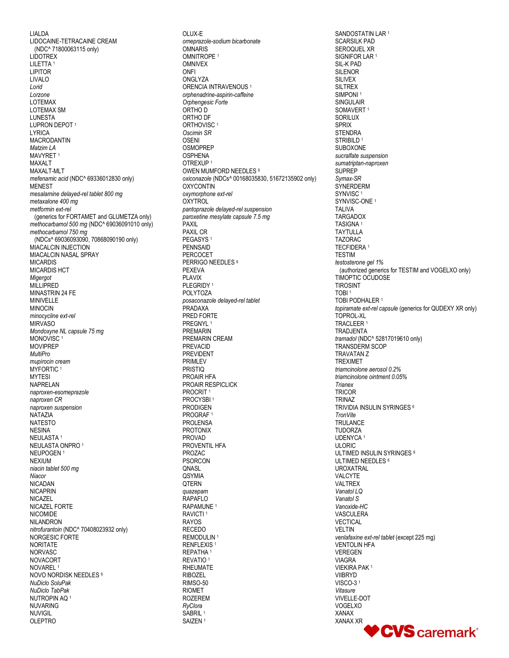LIALDA LIDOCAINE-TETRACAINE CREAM (NDC^ 71800063115 only) LIDOTREX LILETTA<sup>1</sup> LIPITOR LIVALO *Lorid Lorzone* LOTEMAX LOTEMAX SM LUNESTA LUPRON DEPOT<sup>1</sup> LYRICA MACRODANTIN *Matzim LA* MAVYRET<sup>1</sup> MAXAI T MAXALT-MLT *mefenamic acid* (NDC^ 69336012830 only) MENEST *mesalamine delayed-rel tablet 800 mg metaxalone 400 mg metformin ext-rel*  (generics for FORTAMET and GLUMETZA only) *methocarbamol 500 mg* (NDC^ 69036091010 only) *methocarbamol 750 mg* (NDCs^ 69036093090, 70868090190 only) MIACALCIN INJECTION MIACALCIN NASAL SPRAY MICARDIS MICARDIS HCT *Migergot* **MILLIPRED** MINASTRIN 24 FE MINIVELLE MINOCIN *minocycline ext-rel* **MIRVASO** *Mondoxyne NL capsule 75 mg* MONOVISC<sup>1</sup> MOVIPREP *MultiPro mupirocin cream* MYFORTIC<sup>1</sup> MYTESI NAPRELAN *naproxen-esomeprazole naproxen CR naproxen suspension* NATAZIA NATESTO NESINA NEULASTA <sup>1</sup> NEULASTA ONPRO <sup>1</sup> NEUPOGEN <sup>1</sup> NEXIUM *niacin tablet 500 mg Niacor* NICADAN NICAPRIN NICAZEL NICAZEL FORTE NICOMIDE NILANDRON *nitrofurantoin* (NDC^ 70408023932 only) NORGESIC FORTE NORITATE NORVASC NOVACORT NOVAREL <sup>1</sup> NOVO NORDISK NEEDLES <sup>6</sup> *NuDiclo SoluPak NuDiclo TabPak* NUTROPIN AQ <sup>1</sup> NUVARING NUVIGIL OLEPTRO

OLUX-E *omeprazole-sodium bicarbonate* OMNARIS OMNITROPE<sup>1</sup> OMNIVEX **ONFI** ONGLYZA ORENCIA INTRAVENOUS <sup>1</sup> *orphenadrine-aspirin-caffeine Orphengesic Forte* ORTHO D ORTHO DF ORTHOVISC<sup>1</sup> *Oscimin SR* OSENI **OSMOPREP OSPHENA** OTREXUP <sup>1</sup> OWEN MUMFORD NEEDLES <sup>6</sup> *oxiconazole* (NDCs^ 00168035830, 51672135902 only) **OXYCONTIN** *oxymorphone ext-rel* **OXYTROL** *pantoprazole delayed-rel suspension paroxetine mesylate capsule 7.5 mg* PAXIL PAXIL CR PEGASYS <sup>1</sup> PENNSAID PERCOCET PERRIGO NEEDLES<sup>6</sup> PEXEVA PLAVIX PLEGRIDY<sup>1</sup> POLYTOZA *posaconazole delayed-rel tablet* PRADAXA PRED FORTE PRFGNYL 1 PREMARIN PREMARIN CREAM PREVACID PREVIDENT PRIMLEV PRISTIQ PROAIR HFA PROAIR RESPICLICK PROCRIT<sup>1</sup> PROCYSBI<sup>1</sup> PRODIGEN PROGRAF <sup>1</sup> PROLENSA PROTONIX PROVAD PROVENTIL HFA PROZAC PSORCON QNASL QSYMIA **QTERN** *quazepam* RAPAFLO RAPAMUNE <sup>1</sup> RAVICTI <sup>1</sup> RAYOS RECEDO REMODULIN<sup>1</sup> RENFLEXIS<sup>1</sup> REPATHA <sup>1</sup> REVATIO <sup>1</sup> RHEUMATE RIBOZEL RIMSO-50 RIOMET ROZEREM *RyClora* SABRIL<sup>1</sup> SAIZEN <sup>1</sup>

SANDOSTATIN LAR<sup>1</sup> SCARSILK PAD SEROQUEL XR SIGNIFOR LAR<sup>1</sup> SIL-K PAD **SILENOR** SILIVEX SILTREX SIMPONI<sup>1</sup> **SINGULAIR** SOMAVERT<sup>1</sup> SORILUX SPRIX **STENDRA** STRIBILD<sup>1</sup> SUBOXONE *sucralfate suspension sumatriptan-naproxen* SUPREP *Symax-SR* **SYNERDERM** SYNVISC<sup>1</sup> SYNVISC-ONE<sup>1</sup> TALIVA TARGADOX TASIGNA <sup>1</sup> **TAYTULLA** TAZORAC TECFIDERA <sup>1</sup> **TESTIM** *testosterone gel 1%* (authorized generics for TESTIM and VOGELXO only) TIMOPTIC OCUDOSE TIROSINT TOBI <sup>1</sup> TOBI PODHALER <sup>1</sup> *topiramate ext-rel capsule* (generics for QUDEXY XR only) TOPROL-XL TRACLEER <sup>1</sup> TRADJENTA *tramadol* (NDC^ 52817019610 only) TRANSDERM SCOP TRAVATAN Z TREXIMET *triamcinolone aerosol 0.2% triamcinolone ointment 0.05% Trianex* **TRICOR** TRINAZ TRIVIDIA INSULIN SYRINGES <sup>6</sup> *TronVite* **TRULANCE TUDORZA** UDENYCA <sup>1</sup> **ULORIC** ULTIMED INSULIN SYRINGES <sup>6</sup> ULTIMED NEEDLES <sup>6</sup> UROXATRAL VALCYTE VALTREX *Vanatol LQ Vanatol S Vanoxide-HC* **VASCULERA** VECTICAL **VELTIN** *venlafaxine ext-rel tablet* (except 225 mg) VENTOLIN HFA VEREGEN VIAGRA VIEKIRA PAK <sup>1</sup> VIIBRYD VISCO-3 <sup>1</sup> *Vitasure* VIVELLE-DOT VOGELXO XANAX XANAX XRCVS caremark®